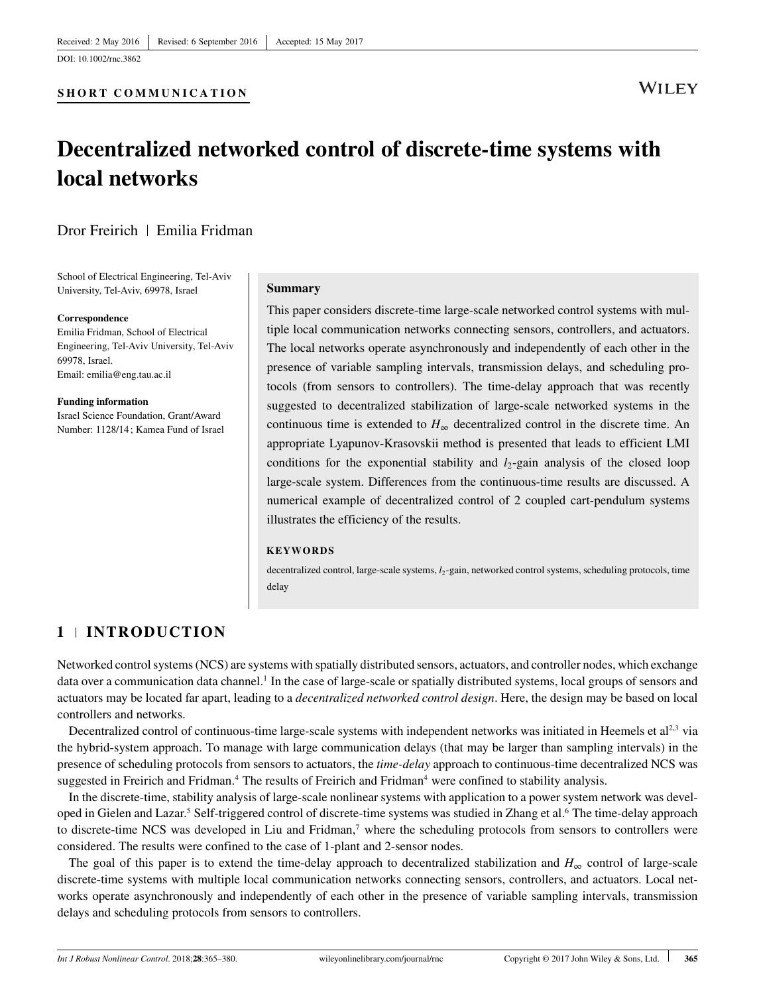DOI: [10.1002/rnc.3862](https://doi.org/10.1002/rnc.3862)

# **WILEY**

# **Decentralized networked control of discrete-time systems with local networks**

## Dror Freirich | Emilia Fridman

School of Electrical Engineering, Tel-Aviv University, Tel-Aviv, 69978, Israel

#### **Correspondence**

Emilia Fridman, School of Electrical Engineering, Tel-Aviv University, Tel-Aviv 69978, Israel. Email: emilia@eng.tau.ac.il

**Funding information** Israel Science Foundation, Grant/Award Number: 1128/14; Kamea Fund of Israel

#### **Summary**

This paper considers discrete-time large-scale networked control systems with multiple local communication networks connecting sensors, controllers, and actuators. The local networks operate asynchronously and independently of each other in the presence of variable sampling intervals, transmission delays, and scheduling protocols (from sensors to controllers). The time-delay approach that was recently suggested to decentralized stabilization of large-scale networked systems in the continuous time is extended to  $H_{\infty}$  decentralized control in the discrete time. An appropriate Lyapunov-Krasovskii method is presented that leads to efficient LMI conditions for the exponential stability and  $l_2$ -gain analysis of the closed loop large-scale system. Differences from the continuous-time results are discussed. A numerical example of decentralized control of 2 coupled cart-pendulum systems illustrates the efficiency of the results.

#### **KEYWORDS**

decentralized control, large-scale systems,  $l_2$ -gain, networked control systems, scheduling protocols, time delay

# **1 INTRODUCTION**

Networked control systems (NCS) are systems with spatially distributed sensors, actuators, and controller nodes, which exchange data over a communication data channel.<sup>1</sup> In the case of large-scale or spatially distributed systems, local groups of sensors and actuators may be located far apart, leading to a *decentralized networked control design*. Here, the design may be based on local controllers and networks.

Decentralized control of continuous-time large-scale systems with independent networks was initiated in Heemels et  $al<sup>2,3</sup>$  $al<sup>2,3</sup>$  $al<sup>2,3</sup>$  via the hybrid-system approach. To manage with large communication delays (that may be larger than sampling intervals) in the presence of scheduling protocols from sensors to actuators, the *time-delay* approach to continuous-time decentralized NCS was suggested in Freirich and Fridman.<sup>4</sup> The results of Freirich and Fridman<sup>4</sup> were confined to stability analysis.

In the discrete-time, stability analysis of large-scale nonlinear systems with application to a power system network was developed in Gielen and Lazar.<sup>5</sup> Self-triggered control of discrete-time systems was studied in Zhang et al.<sup>6</sup> The time-delay approach to discrete-time NCS was developed in Liu and Fridman,<sup>7</sup> where the scheduling protocols from sensors to controllers were considered. The results were confined to the case of 1-plant and 2-sensor nodes.

The goal of this paper is to extend the time-delay approach to decentralized stabilization and  $H_{\infty}$  control of large-scale discrete-time systems with multiple local communication networks connecting sensors, controllers, and actuators. Local networks operate asynchronously and independently of each other in the presence of variable sampling intervals, transmission delays and scheduling protocols from sensors to controllers.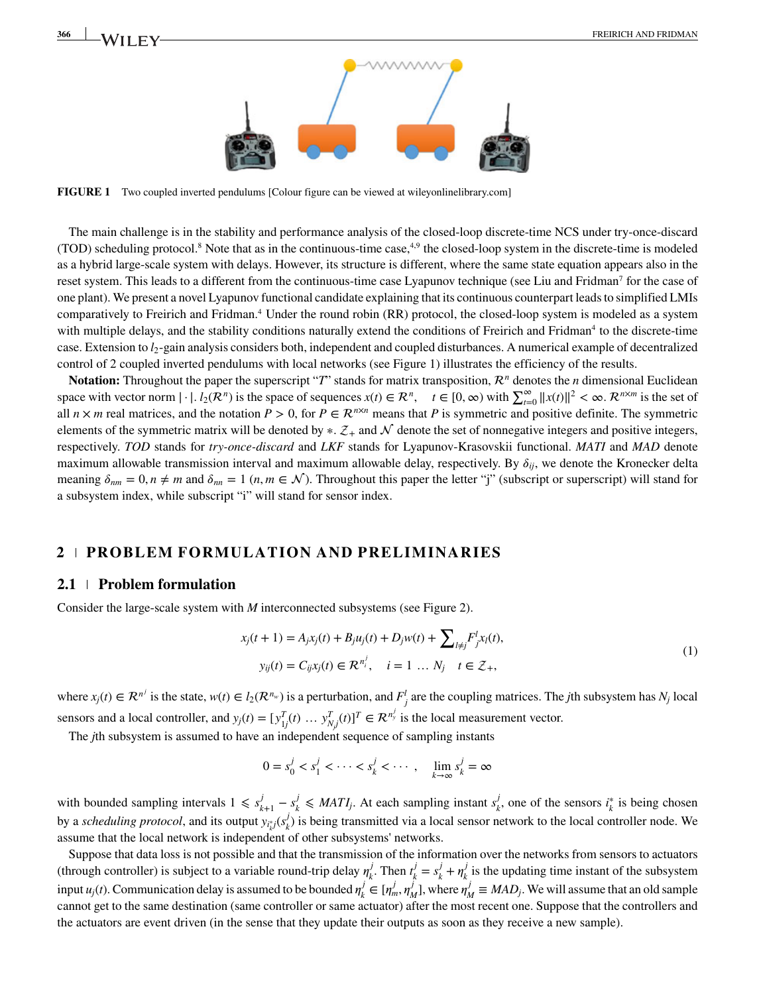

<span id="page-1-0"></span>**FIGURE 1** Two coupled inverted pendulums [Colour figure can be viewed at [wileyonlinelibrary.com\]](https://onlinelibrary.wiley.com/)

The main challenge is in the stability and performance analysis of the closed-loop discrete-time NCS under try-once-discard  $(TOD)$  scheduling protocol.<sup>8</sup> Note that as in the continuous-time case,<sup>4[,9](#page-15-8)</sup> the closed-loop system in the discrete-time is modeled as a hybrid large-scale system with delays. However, its structure is different, where the same state equation appears also in the reset system. This leads to a different from the continuous-time case Lyapunov technique (see Liu and Fridman<sup>7</sup> for the case of one plant). We present a novel Lyapunov functional candidate explaining that its continuous counterpart leads to simplified LMIs comparatively to Freirich and Fridman[.4](#page-15-3) Under the round robin (RR) protocol, the closed-loop system is modeled as a system with multiple delays, and the stability conditions naturally extend the conditions of Freirich and Fridman<sup>4</sup> to the discrete-time case. Extension to *l*2-gain analysis considers both, independent and coupled disturbances. A numerical example of decentralized control of 2 coupled inverted pendulums with local networks (see Figure [1\)](#page-1-0) illustrates the efficiency of the results.

**Notation:** Throughout the paper the superscript "*T*" stands for matrix transposition,  $\mathcal{R}^n$  denotes the *n* dimensional Euclidean **Notation:** Throughout the paper the superscript T stands for matrix transposition,  $\kappa$  denotes the *n* dimensional excluded<br>space with vector norm  $|\cdot|$ .  $l_2(\mathcal{R}^n)$  is the space of sequences  $x(t) \in \mathcal{R}^n$ ,  $t \in [0$ all  $n \times m$  real matrices, and the notation  $P > 0$ , for  $P \in \mathbb{R}^{n \times n}$  means that P is symmetric and positive definite. The symmetric elements of the symmetric matrix will be denoted by  $*$ .  $\mathcal{Z}_+$  and  $\mathcal N$  denote the set of nonnegative integers and positive integers, respectively. *TOD* stands for *try-once-discard* and *LKF* stands for Lyapunov-Krasovskii functional. *MATI* and *MAD* denote maximum allowable transmission interval and maximum allowable delay, respectively. By  $\delta_{ij}$ , we denote the Kronecker delta meaning  $\delta_{nm} = 0, n \neq m$  and  $\delta_{nn} = 1$   $(n, m \in \mathcal{N})$ . Throughout this paper the letter "j" (subscript or superscript) will stand for a subsystem index, while subscript "i" will stand for sensor index.

#### **2 PROBLEM FORMULATION AND PRELIMINARIES**

#### **2.1 Problem formulation**

Consider the large-scale system with *M* interconnected subsystems (see Figure [2\)](#page-2-0).

<span id="page-1-1"></span>
$$
x_j(t+1) = A_j x_j(t) + B_j u_j(t) + D_j w(t) + \sum_{l \neq j} F_j^l x_l(t),
$$
  
\n
$$
y_{ij}(t) = C_{ij} x_j(t) \in \mathcal{R}^{n_i^j}, \quad i = 1 \dots N_j \quad t \in \mathcal{Z}_+,
$$
\n(1)

where  $x_j(t) \in \mathbb{R}^{n^j}$  is the state,  $w(t) \in l_2(\mathbb{R}^{n_w})$  is a perturbation, and  $F_j^l$  are the coupling matrices. The *j*th subsystem has  $N_j$  local sensors and a local controller, and  $y_j(t) = [y_{1j}^T(t) \dots y_{Nj}^T(t)]^T \in \mathcal{R}^{n_y^j}$  is the local measurement vector.

The *j*th subsystem is assumed to have an independent sequence of sampling instants

$$
0 = s_0^j < s_1^j < \cdots < s_k^j < \cdots, \quad \lim_{k \to \infty} s_k^j = \infty
$$

with bounded sampling intervals  $1 \le s_{k+1}^j - s_k^j \le MATI_j$ . At each sampling instant  $s_k^j$ , one of the sensors  $i_k^*$  is being chosen by a *scheduling protocol*, and its output  $y_{i_k^*j}(s_k^j)$  is being transmitted via a local sensor network to the local controller node. We assume that the local network is independent of other subsystems' networks.

Suppose that data loss is not possible and that the transmission of the information over the networks from sensors to actuators (through controller) is subject to a variable round-trip delay  $\eta_k^j$ . Then  $t_k^j = s_k^j + \eta_k^j$  is the updating time instant of the subsystem input *u<sub>j</sub>*(*t*). Communication delay is assumed to be bounded  $\eta_k^j \in [\eta_m^j, \eta_M^j]$ , where  $\eta_M^j \equiv MAD_j$ . We will assume that an old sample cannot get to the same destination (same controller or same actuator) after the most recent one. Suppose that the controllers and the actuators are event driven (in the sense that they update their outputs as soon as they receive a new sample).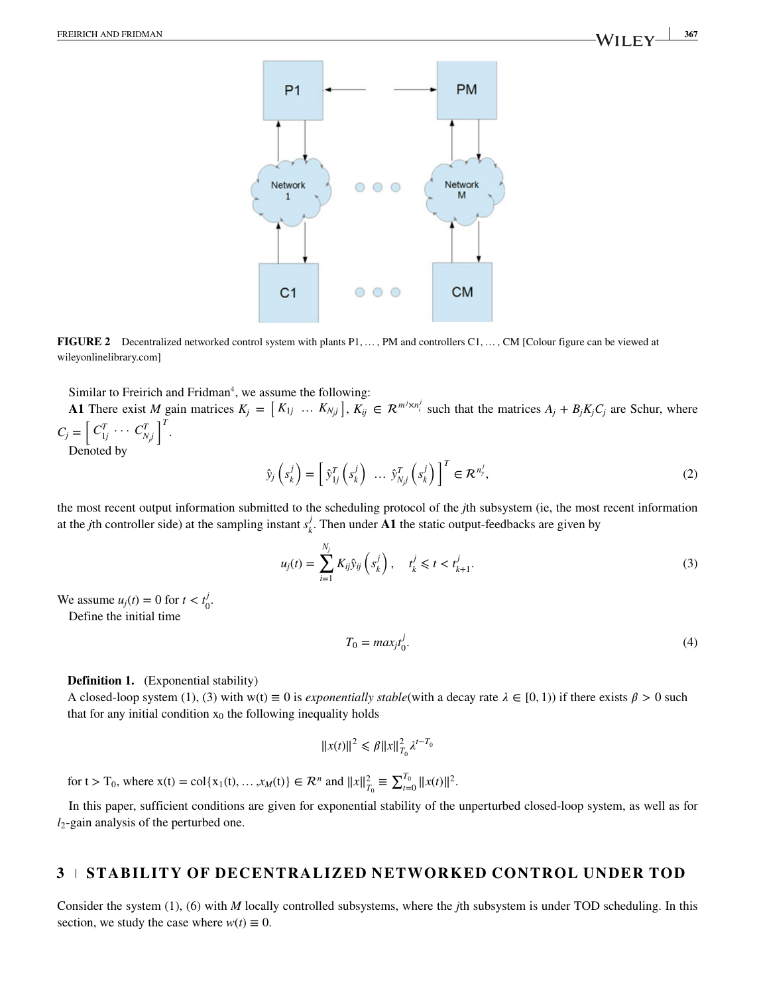

**FIGURE 2** Decentralized networked control system with plants P1,…, PM and controllers C1,…, CM [Colour figure can be viewed at [wileyonlinelibrary.com\]](https://onlinelibrary.wiley.com/)

Similar to Freirich and Fridman<sup>4</sup>, we assume the following:

Similar to Freirich and Fridman', we assume the following:<br> **A1** There exist *M* gain matrices  $K_j = [K_{1j} \dots K_{N_jj}], K_{ij} \in \mathbb{R}^{m^j \times n_i^j}$  such that the matrices  $A_j + B_j K_j C_j$  are Schur, where  $C_j = \begin{bmatrix} C_{1j}^T & \cdots & C_{N_jj}^T \end{bmatrix}$ . Denoted by

<span id="page-2-0"></span>
$$
\hat{y}_j\left(s_k^j\right) = \left[\hat{y}_{1j}^T\left(s_k^j\right) \ \dots \ \hat{y}_{N,j}^T\left(s_k^j\right)\right]^T \in \mathcal{R}^{n_y^j},\tag{2}
$$

the most recent output information submitted to the scheduling protocol of the *j*th subsystem (ie, the most recent information at the *j*th controller side) at the sampling instant  $s_k^j$ . Then under **A1** the static output-feedbacks are given by

$$
u_j(t) = \sum_{i=1}^{N_j} K_{ij} \hat{y}_{ij} \left( s_k^j \right), \quad t_k^j \leq t < t_{k+1}^j. \tag{3}
$$

We assume  $u_j(t) = 0$  for  $t < t_0^j$ .

Define the initial time

<span id="page-2-2"></span>
$$
T_0 = \max_j t_0^j. \tag{4}
$$

#### <span id="page-2-1"></span>**Definition [1.](#page-2-1)** (Exponential stability)

A closed-loop system [\(1\)](#page-1-1), [\(3\)](#page-2-2) with w(t)  $\equiv 0$  is *exponentially stable*(with a decay rate  $\lambda \in [0, 1)$ ) if there exists  $\beta > 0$  such that for any initial condition  $x_0$  the following inequality holds

$$
||x(t)||^2 \leq \beta ||x||_{T_0}^2 \lambda^{t-T_0}
$$

for  $t > T_0$ , where  $x(t) = \text{col}\{x_1(t), ..., x_M(t)\} \in \mathcal{R}^n$  and  $||x||_{T_0}^2 \equiv \sum_{t=0}^{T_0} ||x(t)||^2$ .

In this paper, sufficient conditions are given for exponential stability of the unperturbed closed-loop system, as well as for *l*2-gain analysis of the perturbed one.

#### **3 STABILITY OF DECENTRALIZED NETWORKED CONTROL UNDER TOD**

Consider the system [\(1\)](#page-1-1), [\(6\)](#page-3-0) with *M* locally controlled subsystems, where the *j*th subsystem is under TOD scheduling. In this section, we study the case where  $w(t) \equiv 0$ .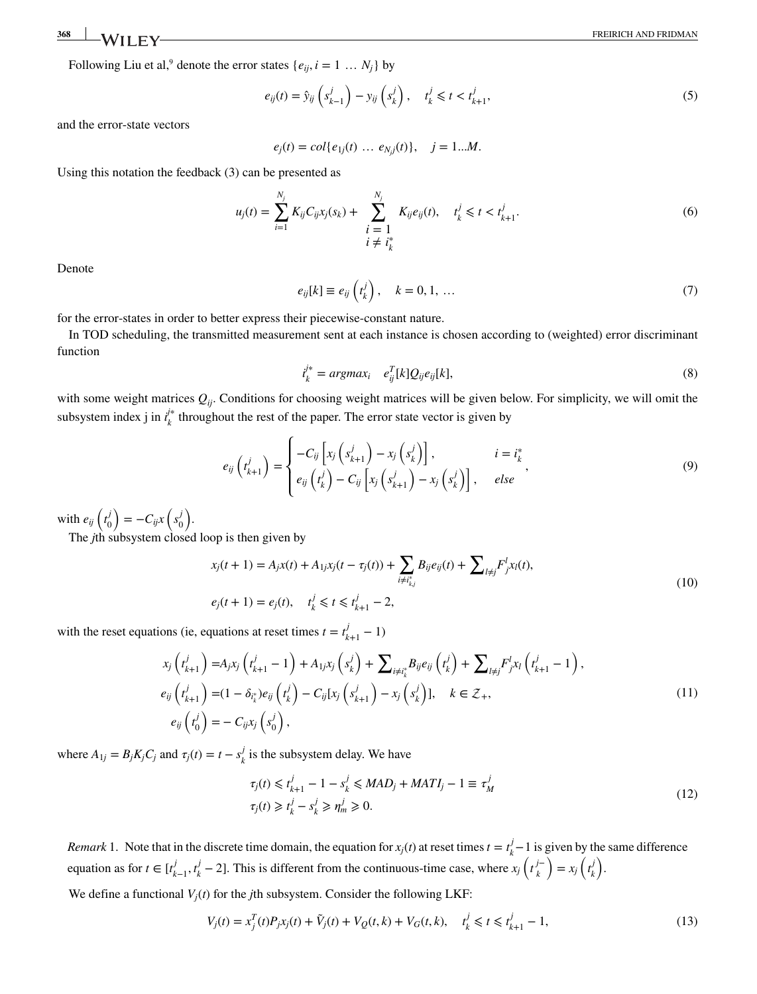**368** WII FY FREIRICH AND FRIDMAN

Following Liu et al,<sup>9</sup> denote the error states  $\{e_{ij}, i = 1 \dots N_j\}$  by

$$
e_{ij}(t) = \hat{y}_{ij}\left(s_{k-1}^j\right) - y_{ij}\left(s_k^j\right), \quad t_k^j \leq t < t_{k+1}^j,\tag{5}
$$

and the error-state vectors

<span id="page-3-0"></span>
$$
e_j(t) = col{e_{1j}(t) \dots e_{Nj}(t)}, \quad j = 1...M.
$$

Using this notation the feedback [\(3\)](#page-2-2) can be presented as

$$
u_j(t) = \sum_{i=1}^{N_j} K_{ij} C_{ij} x_j(s_k) + \sum_{\substack{i=1 \ i \neq i_k^*}}^{N_j} K_{ij} e_{ij}(t), \quad t_k^j \leq t < t_{k+1}^j. \tag{6}
$$

<span id="page-3-5"></span>Denote

$$
e_{ij}[k] \equiv e_{ij}\left(t_k^j\right), \quad k = 0, 1, \dots \tag{7}
$$

for the error-states in order to better express their piecewise-constant nature.

In TOD scheduling, the transmitted measurement sent at each instance is chosen according to (weighted) error discriminant function

<span id="page-3-6"></span>
$$
\dot{t}_k^{\dagger *} = \operatorname{argmax}_i \quad e_{ij}^T[k] Q_{ij} e_{ij}[k], \tag{8}
$$

with some weight matrices  $Q_{ij}$ . Conditions for choosing weight matrices will be given below. For simplicity, we will omit the subsystem index j in  $i_k^*$  throughout the rest of the paper. The error state vector is given by

$$
e_{ij}\left(t_{k+1}^{j}\right) = \begin{cases} -C_{ij}\left[x_{j}\left(s_{k+1}^{j}\right) - x_{j}\left(s_{k}^{j}\right)\right], & i = i_{k}^{*} \\ e_{ij}\left(t_{k}^{j}\right) - C_{ij}\left[x_{j}\left(s_{k+1}^{j}\right) - x_{j}\left(s_{k}^{j}\right)\right], & else \end{cases}
$$
\n(9)

with  $e_{ij}$   $\left(t_0^j\right)$  $\boldsymbol{0}$  $\mathbf{r}$  $=-C_{ij}x$  $\overline{\phantom{a}}$ *s j*  $\boldsymbol{0}$  $\mathbf{r}$ .

The *j*th subsystem closed loop is then given by

<span id="page-3-3"></span><span id="page-3-2"></span>
$$
x_j(t+1) = A_j x(t) + A_{1j} x_j(t - \tau_j(t)) + \sum_{i \neq i_{k,j}^*} B_{ij} e_{ij}(t) + \sum_{l \neq j} F_j^l x_l(t),
$$
  
\n
$$
e_j(t+1) = e_j(t), \quad t_k^j \leq t \leq t_{k+1}^j - 2,
$$
\n(10)

with the reset equations (ie, equations at reset times  $t = t_{k+1}^j - 1$ )

$$
x_j(t_{k+1}^j) = A_j x_j(t_{k+1}^j - 1) + A_{1j} x_j(s_k^j) + \sum_{i \neq i_k^*} B_{ij} e_{ij}(t_k^j) + \sum_{l \neq j} F_j^l x_l(t_{k+1}^j - 1),
$$
  
\n
$$
e_{ij}(t_{k+1}^j) = (1 - \delta_{i_k^*}) e_{ij}(t_k^j) - C_{ij} [x_j(s_{k+1}^j) - x_j(s_k^j)], \quad k \in \mathcal{Z}_+,
$$
  
\n
$$
e_{ij}(t_0^j) = -C_{ij} x_j(s_0^j),
$$
\n(11)

where  $A_{1j} = B_j K_j C_j$  and  $\tau_j(t) = t - s_k^j$  is the subsystem delay. We have

<span id="page-3-4"></span>
$$
\tau_j(t) \leq t_{k+1}^j - 1 - s_k^j \leq MAD_j + MATI_j - 1 \equiv \tau_M^j
$$
  
\n
$$
\tau_j(t) \geq t_k^j - s_k^j \geq \eta_m^j \geq 0.
$$
\n(12)

<span id="page-3-1"></span>*Remark* [1.](#page-3-1) Note that in the discrete time domain, the equation for  $x_j(t)$  at reset times  $t = t_k^j - 1$  is given by the same difference equation as for  $t \in [t_{k-1}^j, t_k^j - 2]$ . This is different from the continuous-time case, where  $x_j(t_k^j - 1)$  $\binom{j-}{k} = x_j \left(t_k^j\right)$ *k* .

We define a functional  $V_i(t)$  for the *j*th subsystem. Consider the following LKF:

$$
V_j(t) = x_j^T(t)P_jx_j(t) + \tilde{V}_j(t) + V_Q(t,k) + V_G(t,k), \quad t_k^j \le t \le t_{k+1}^j - 1,\tag{13}
$$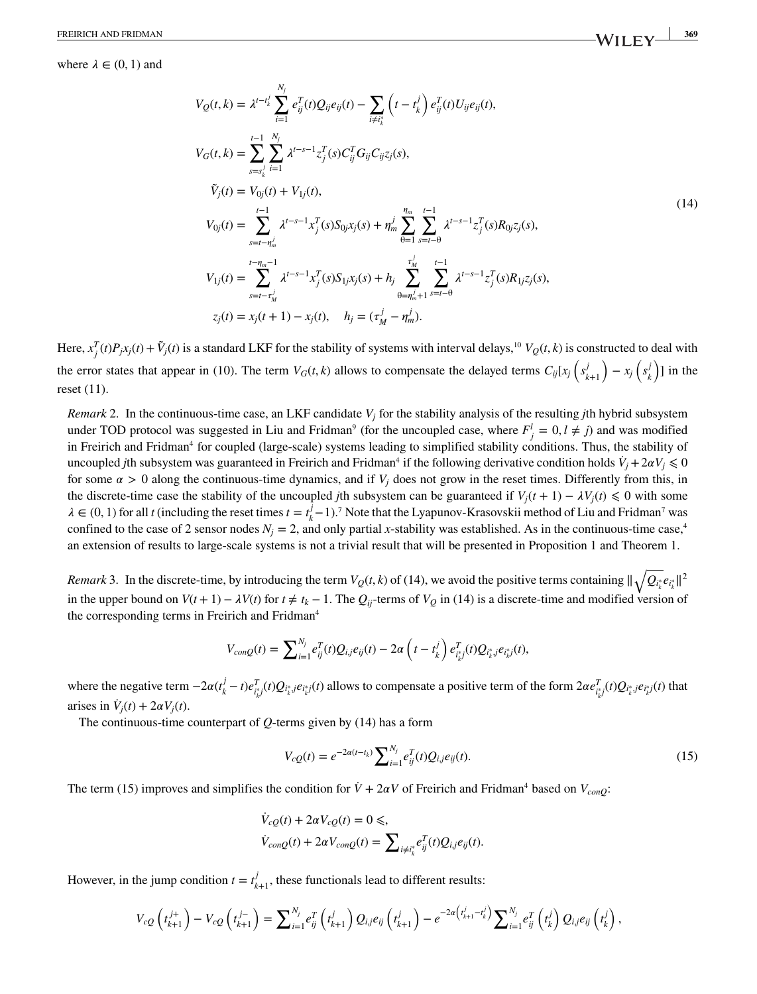where  $\lambda \in (0, 1)$  and

<span id="page-4-2"></span>
$$
V_{Q}(t, k) = \lambda^{t-t_{k}^{j}} \sum_{i=1}^{N_{j}} e_{ij}^{T}(t) Q_{ij} e_{ij}(t) - \sum_{i \neq i_{k}^{*}} \left( t - t_{k}^{j} \right) e_{ij}^{T}(t) U_{ij} e_{ij}(t),
$$
  
\n
$$
V_{G}(t, k) = \sum_{s=s_{k}^{j}} \sum_{i=1}^{N_{j}} \lambda^{t-s-1} z_{j}^{T}(s) C_{ij}^{T} G_{ij} C_{ij} z_{j}(s),
$$
  
\n
$$
\tilde{V}_{j}(t) = V_{0j}(t) + V_{1j}(t),
$$
  
\n
$$
V_{0j}(t) = \sum_{s=t-n_{m}^{j}}^{t-1} \lambda^{t-s-1} x_{j}^{T}(s) S_{0j} x_{j}(s) + \eta_{m}^{j} \sum_{\theta=1}^{n_{m}} \sum_{s=t-\theta}^{t-1} \lambda^{t-s-1} z_{j}^{T}(s) R_{0j} z_{j}(s),
$$
  
\n
$$
V_{1j}(t) = \sum_{s=t-r_{M}^{j}}^{t-n_{m}-1} \lambda^{t-s-1} x_{j}^{T}(s) S_{1j} x_{j}(s) + h_{j} \sum_{\theta=n_{m}^{j}+1}^{t} \sum_{s=t-\theta}^{t-1} \lambda^{t-s-1} z_{j}^{T}(s) R_{1j} z_{j}(s),
$$
  
\n
$$
z_{j}(t) = x_{j}(t+1) - x_{j}(t), \quad h_{j} = (\tau_{M}^{j} - \tau_{m}^{j}).
$$
  
\n(14)

Here,  $x_j^T(t)P_jx_j(t) + \tilde{V}_j(t)$  is a standard LKF for the stability of systems with interval delays,<sup>10</sup>  $V_Q(t, k)$  is constructed to deal with the error states that appear in [\(10\)](#page-3-2). The term  $V_G(t, k)$  allows to compensate the delayed terms  $C_{ij}[x_j](s_i^j)$  $\binom{j}{k+1}$  –  $x_j$   $\left(s_k^j\right)$  $\binom{n}{k}$ ] in the reset [\(11\)](#page-3-3).

<span id="page-4-0"></span>*Remark* [2.](#page-4-0) In the continuous-time case, an LKF candidate *Vj* for the stability analysis of the resulting *j*th hybrid subsystem under TOD protocol was suggested in Liu and Fridman<sup>9</sup> (for the uncoupled case, where  $F_j^l = 0, l \neq j$ ) and was modified in Freirich and Fridman<sup>4</sup> for coupled (large-scale) systems leading to simplified stability conditions. Thus, the stability of uncoupled *j*th subsystem was guaranteed in Freirich and Fridman<sup>4</sup> if the following derivative condition holds  $\dot{V}_j + 2\alpha V_j \le 0$ for some  $\alpha > 0$  along the continuous-time dynamics, and if  $V_i$  does not grow in the reset times. Differently from this, in the discrete-time case the stability of the uncoupled *j*th subsystem can be guaranteed if  $V_i(t + 1) - \lambda V_i(t) \leq 0$  with some  $\lambda \in (0, 1)$  for all *t* (including the reset times  $t = t_k^j - 1$ ).<sup>7</sup> Note that the Lyapunov-Krasovskii method of Liu and Fridman<sup>7</sup> was confined to the case of 2 sensor nodes  $N_i = 2$ , and only partial x-stability was established. As in the continuous-time case,<sup>4</sup> an extension of results to large-scale systems is not a trivial result that will be presented in Proposition [1](#page-5-0) and Theorem [1.](#page-9-0)

<span id="page-4-1"></span>*Remark* [3.](#page-4-1) In the discrete-time, by introducing the term  $V_Q(t, k)$  of [\(14\)](#page-4-2), we avoid the positive terms containing  $||\sqrt{Q_{i_k^*}}e_{i_k^*}||^2$ in the upper bound on  $V(t + 1) - \lambda V(t)$  for  $t \neq t_k - 1$ . The  $Q_{ij}$ -terms of  $V_Q$  in [\(14\)](#page-4-2) is a discrete-time and modified version of the corresponding terms in Freirich and Fridman<sup>4</sup>

$$
V_{conQ}(t) = \sum_{i=1}^{N_j} e_{ij}^T(t) Q_{i,j} e_{ij}(t) - 2\alpha \left( t - t_k^j \right) e_{i_k^*j}^T(t) Q_{i_k^*j} e_{i_k^*j}(t),
$$

where the negative term  $-2\alpha(t_k^j - t)e_{i_k^sj}^T(t)Q_{i_k^*j}e_{i_k^*j}(t)$  allows to compensate a positive term of the form  $2\alpha e_{i_k^sj}^T(t)Q_{i_k^*j}e_{i_k^*j}(t)$  that arises in  $\dot{V}_j(t) + 2\alpha V_j(t)$ .

The continuous-time counterpart of *Q*-terms given by [\(14\)](#page-4-2) has a form

<span id="page-4-3"></span>
$$
V_{cQ}(t) = e^{-2\alpha(t - t_k)} \sum_{i=1}^{N_j} e_{ij}^T(t) Q_{i,j} e_{ij}(t).
$$
\n(15)

The term [\(15\)](#page-4-3) improves and simplifies the condition for  $\dot{V} + 2\alpha V$  of Freirich and Fridman<sup>4</sup> based on  $V_{\text{conQ}}$ :

$$
\begin{aligned} \dot{V}_{cQ}(t) + 2\alpha V_{cQ}(t) &= 0 \leq, \\ \dot{V}_{conQ}(t) + 2\alpha V_{conQ}(t) &= \sum_{i \neq i^*_{k}} e_{ij}^T(t) Q_{i,j} e_{ij}(t). \end{aligned}
$$

However, in the jump condition  $t = t_{k+1}^j$ , these functionals lead to different results:

$$
V_{cQ}\left(t^{j+}_{k+1}\right) - V_{cQ}\left(t^{j-}_{k+1}\right) = \sum_{i=1}^{N_j} e_{ij}^T \left(t^j_{k+1}\right) Q_{i,j} e_{ij} \left(t^j_{k+1}\right) - e^{-2\alpha \left(t^j_{k+1} - t^j_k\right)} \sum_{i=1}^{N_j} e_{ij}^T \left(t^j_k\right) Q_{i,j} e_{ij} \left(t^j_k\right),
$$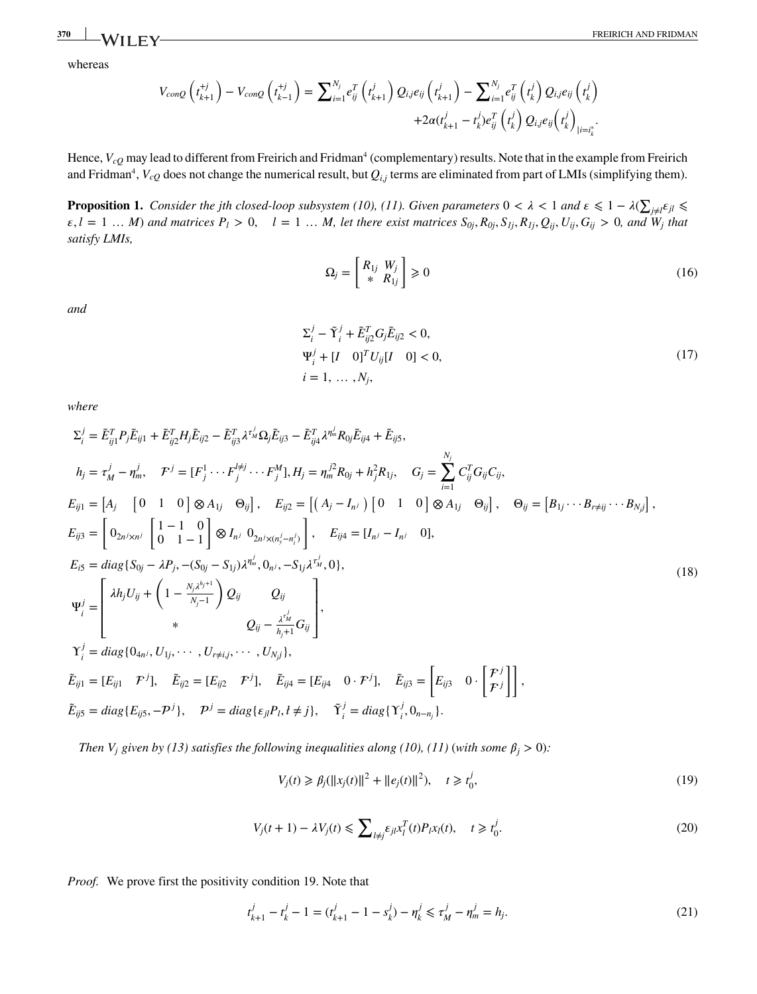whereas

$$
V_{conQ}\left(t_{k+1}^{+j}\right) - V_{conQ}\left(t_{k-1}^{+j}\right) = \sum_{i=1}^{N_j} e_{ij}^T \left(t_{k+1}^j\right) Q_{i,j} e_{ij} \left(t_{k+1}^j\right) - \sum_{i=1}^{N_j} e_{ij}^T \left(t_k^j\right) Q_{i,j} e_{ij} \left(t_k^j\right) + 2\alpha \left(t_{k+1}^j - t_k^j\right) e_{ij}^T \left(t_k^j\right) Q_{i,j} e_{ij} \left(t_k^j\right)_{\left|i=i_k^*}\right).
$$

Hence, *V<sub>cO</sub>* may lead to different from Freirich and Fridman<sup>4</sup> (complementary) results. Note that in the example from Freirich and Fridman $^4$ ,  $V_{cQ}$  does not change the numerical result, but  $Q_{i,j}$  terms are eliminated from part of LMIs (simplifying them).

<span id="page-5-4"></span><span id="page-5-1"></span>**Proposition [1.](#page-5-1)** *Consider the jth closed-loop subsystem* [\(10\)](#page-3-2)*,* [\(11\)](#page-3-3)*. Given parameters*  $0 < \lambda < 1$  *and*  $\epsilon \leq 1 - \lambda($ ∑  $j \neq l$ <sup>E</sup>jl</sub> ≤  $\varepsilon, l = 1 ... M$ ) and matrices  $P_l > 0$ ,  $l = 1 ... M$ , let there exist matrices  $S_{0j}$ ,  $R_{0j}$ ,  $S_{1j}$ ,  $R_{1j}$ ,  $Q_{ij}$ ,  $U_{ij}$ ,  $G_{ij} > 0$ , and  $W_j$  that *satisfy LMIs,*

$$
\Omega_j = \begin{bmatrix} R_{1j} & W_j \\ * & R_{1j} \end{bmatrix} \geq 0 \tag{16}
$$

<span id="page-5-3"></span>*and*

$$
\Sigma_{i}^{j} - \tilde{\Upsilon}_{i}^{j} + \tilde{E}_{ij2}^{T} G_{j} \tilde{E}_{ij2} < 0,
$$
\n
$$
\Psi_{i}^{j} + [I \quad 0]^{T} U_{ij} [I \quad 0] < 0,
$$
\n
$$
i = 1, \dots, N_{j},
$$
\n(17)

<span id="page-5-6"></span>*where*

$$
\Sigma_{i}^{j} = \tilde{E}_{ij1}^{T} P_{j} \tilde{E}_{ij1} + \tilde{E}_{ij2}^{T} H_{j} \tilde{E}_{ij2} - \tilde{E}_{ij3}^{T} \lambda^{\tau_{M}^{j}} \Omega_{j} \tilde{E}_{ij3} - \tilde{E}_{ij4}^{T} \lambda^{\eta_{M}^{j}} R_{0j} \tilde{E}_{ij4} + \tilde{E}_{ij5},
$$
\n
$$
h_{j} = \tau_{M}^{j} - \eta_{m}^{j}, \quad \mathcal{F}^{j} = [F_{j}^{1} \cdots F_{j}^{j \neq j} \cdots F_{j}^{M}], H_{j} = \eta_{m}^{j2} R_{0j} + h_{j}^{2} R_{1j}, \quad G_{j} = \sum_{i=1}^{N_{j}} C_{ij}^{T} G_{ij} C_{ij},
$$
\n
$$
E_{ij1} = [A_{j} \quad [0 \quad 1 \quad 0] \otimes A_{1j} \quad \Theta_{ij}], \quad E_{ij2} = [(A_{j} - I_{n}) \quad [0 \quad 1 \quad 0] \otimes A_{1j} \quad \Theta_{ij}], \quad \Theta_{ij} = [B_{1j} \cdots B_{r \neq ij} \cdots B_{N,j}],
$$
\n
$$
E_{ij3} = \begin{bmatrix} 0_{2n^{j} \times n^{j}} \quad \begin{bmatrix} 1-1 & 0 \\ 0 & 1-1 \end{bmatrix} \otimes I_{n^{j}} \quad 0_{2n^{j} \times (n_{y}^{j} - n_{i}^{j})} \end{bmatrix}, \quad E_{ij4} = [I_{n^{j}} - I_{n^{j}} \quad 0],
$$
\n
$$
E_{i5} = diag\{S_{0j} - \lambda P_{j}, -(S_{0j} - S_{1j})\lambda^{n^{j}}_{m}, 0_{n^{j}}, -S_{1j}\lambda^{r^{j}}_{m}, 0),
$$
\n
$$
\Psi_{i}^{j} = \begin{bmatrix} \lambda h_{j} U_{ij} + \left(1 - \frac{N_{j}\lambda^{h_{j+1}}}{N_{j-1}}\right) Q_{ij} & Q_{ij} \\ \lambda & Q_{ij} - \frac{\lambda^{r^{j}}_{n^{j}}}{N_{j+1}} G_{ij} \end{bmatrix},
$$
\n
$$
\tilde{L}_{ij
$$

<span id="page-5-0"></span>*Then V<sub>j</sub> given by [\(13\)](#page-3-4) satisfies the following inequalities along [\(10\)](#page-3-2), [\(11\)](#page-3-3) (with some*  $\beta_j > 0$ *):* 

<span id="page-5-2"></span>
$$
V_j(t) \ge \beta_j(||x_j(t)||^2 + ||e_j(t)||^2), \quad t \ge t_0^j,
$$
\n(19)

$$
V_j(t+1) - \lambda V_j(t) \le \sum_{l \ne j} \varepsilon_{jl} x_l^T(t) P_l x_l(t), \quad t \ge t_0^j.
$$
\n
$$
(20)
$$

*Proof.* We prove first the positivity condition [19.](#page-5-2) Note that

<span id="page-5-5"></span>
$$
t_{k+1}^j - t_k^j - 1 = (t_{k+1}^j - 1 - s_k^j) - \eta_k^j \le \tau_M^j - \eta_m^j = h_j.
$$
\n(21)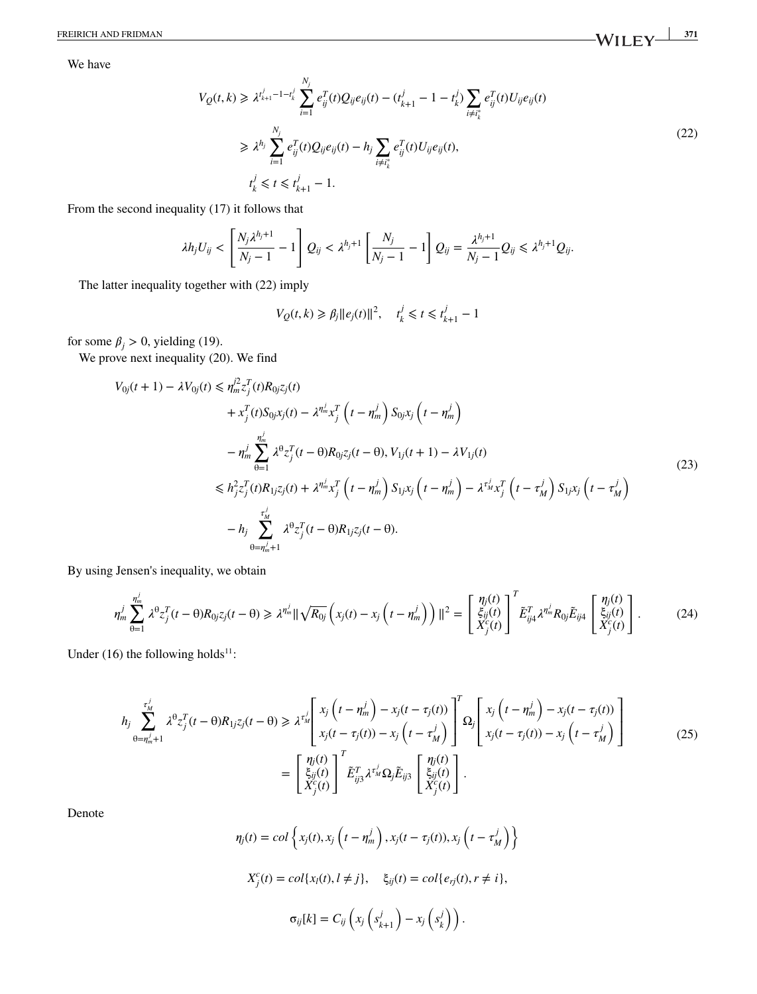FREIRICH AND FRIDMAN **371 371** 

<span id="page-6-0"></span>We have

$$
V_Q(t,k) \geq \lambda^{t_{k+1}^j - 1 - t_k^j} \sum_{i=1}^{N_j} e_{ij}^T(t) Q_{ij} e_{ij}(t) - (t_{k+1}^j - 1 - t_k^j) \sum_{i \neq t_k^*} e_{ij}^T(t) U_{ij} e_{ij}(t)
$$
  
\n
$$
\geq \lambda^{h_j} \sum_{i=1}^{N_j} e_{ij}^T(t) Q_{ij} e_{ij}(t) - h_j \sum_{i \neq t_k^*} e_{ij}^T(t) U_{ij} e_{ij}(t),
$$
  
\n
$$
t_k^j \leq t \leq t_{k+1}^j - 1.
$$
\n(22)

From the second inequality [\(17\)](#page-5-3) it follows that

$$
\lambda h_j U_{ij} < \left[ \frac{N_j \lambda^{h_j+1}}{N_j-1} - 1 \right] Q_{ij} < \lambda^{h_j+1} \left[ \frac{N_j}{N_j-1} - 1 \right] Q_{ij} = \frac{\lambda^{h_j+1}}{N_j-1} Q_{ij} \leq \lambda^{h_j+1} Q_{ij}.
$$

The latter inequality together with [\(22\)](#page-6-0) imply

<span id="page-6-1"></span>
$$
V_Q(t, k) \ge \beta_j \|e_j(t)\|^2, \quad t_k^j \le t \le t_{k+1}^j - 1
$$

for some  $\beta_j > 0$ , yielding [\(19\)](#page-5-2).

We prove next inequality [\(20\)](#page-5-0). We find

$$
V_{0j}(t+1) - \lambda V_{0j}(t) \le \eta_m^{j2} z_j^T(t) R_{0j} z_j(t) + x_j^T(t) S_{0j} x_j(t) - \lambda^{\eta_m^j} x_j^T \left( t - \eta_m^j \right) S_{0j} x_j \left( t - \eta_m^j \right) - \eta_m^j \sum_{\theta=1}^{\eta_m^j} \lambda^{\theta} z_j^T(t - \theta) R_{0j} z_j(t - \theta), V_{1j}(t+1) - \lambda V_{1j}(t) \n\le h_{j}^2 z_j^T(t) R_{1j} z_j(t) + \lambda^{\eta_m^j} x_j^T \left( t - \eta_m^j \right) S_{1j} x_j \left( t - \eta_m^j \right) - \lambda^{\tau_m^j} x_j^T \left( t - \tau_m^j \right) S_{1j} x_j \left( t - \tau_m^j \right)
$$
\n
$$
- h_j \sum_{\theta=\eta_m^{j}+1}^{\tau_m^j} \lambda^{\theta} z_j^T(t - \theta) R_{1j} z_j(t - \theta).
$$
\n(23)

By using Jensen's inequality, we obtain

$$
\eta_m^j \sum_{\theta=1}^{\eta_m^j} \lambda^{\theta} z_j^T(t-\theta) R_{0j} z_j(t-\theta) \geq \lambda^{\eta_m^j} \|\sqrt{R_{0j}} \left( x_j(t) - x_j \left( t - \eta_m^j \right) \right) \|^2 = \begin{bmatrix} \eta_j(t) \\ \xi_{ij}(t) \\ X_j^c(t) \end{bmatrix}^T \tilde{E}_{ij4}^T \lambda^{\eta_m^j} R_{0j} \tilde{E}_{ij4} \begin{bmatrix} \eta_j(t) \\ \xi_{ij}(t) \\ X_j^c(t) \end{bmatrix} .
$$
 (24)

Under [\(16\)](#page-5-4) the following holds<sup>11</sup>:

<span id="page-6-2"></span>
$$
h_j \sum_{\theta=\eta_m^j+1}^{\tau_M^j} \lambda^{\theta} z_j^T(t-\theta) R_{1j} z_j(t-\theta) \geq \lambda^{\tau_M^j} \left[ x_j \left( t - \eta_m^j \right) - x_j(t - \tau_j(t)) \right]^T \Omega_j \left[ x_j \left( t - \eta_m^j \right) - x_j(t - \tau_j(t)) \right]
$$
  

$$
= \left[ \frac{\eta_j(t)}{\xi_{ij}(t)} \right]^T \tilde{E}_{ij3}^T \lambda^{\tau_M^j} \Omega_j \tilde{E}_{ij3} \left[ \frac{\eta_j(t)}{\xi_{ij}(t)} \right].
$$
 (25)

Denote

$$
\eta_j(t) = col\left\{x_j(t), x_j\left(t - \eta_m^j\right), x_j(t - \tau_j(t)), x_j\left(t - \tau_M^j\right)\right\}
$$

$$
X_j^c(t) = col\{x_l(t), l \neq j\}, \quad \xi_{ij}(t) = col\{e_{rj}(t), r \neq i\},
$$

$$
\sigma_{ij}[k] = C_{ij}\left(x_j\left(s_{k+1}^j\right) - x_j\left(s_k^j\right)\right).
$$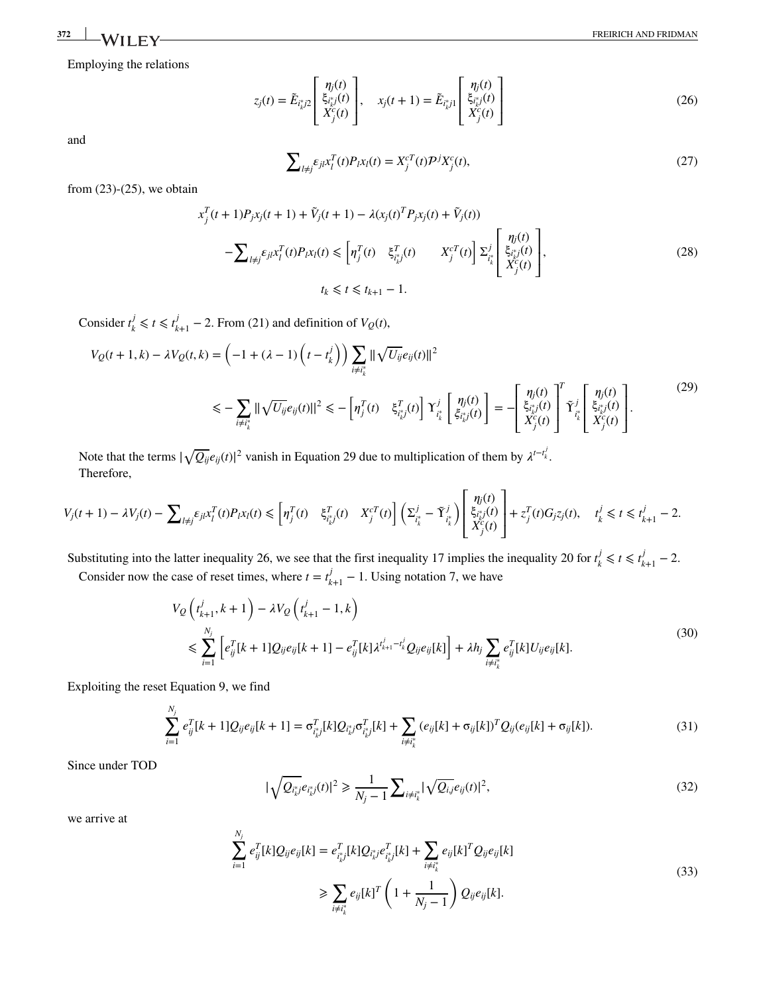Employing the relations

<span id="page-7-1"></span>
$$
z_j(t) = \tilde{E}_{i_k^*j2} \begin{bmatrix} \eta_j(t) \\ \xi_{i_k^*j}(t) \\ X_j^c(t) \end{bmatrix}, \quad x_j(t+1) = \tilde{E}_{i_k^*j1} \begin{bmatrix} \eta_j(t) \\ \xi_{i_k^*j}(t) \\ X_j^c(t) \end{bmatrix}
$$
(26)

and

$$
\sum_{l \neq j} \varepsilon_{jl} x_l^T(t) P_l x_l(t) = X_j^{cT}(t) \mathcal{P}^j X_j^c(t),\tag{27}
$$

<span id="page-7-4"></span><span id="page-7-0"></span> $\overline{a}$ 

from  $(23)-(25)$  $(23)-(25)$  $(23)-(25)$ , we obtain

<span id="page-7-5"></span>
$$
x_j^T(t+1)P_jx_j(t+1) + \tilde{V}_j(t+1) - \lambda(x_j(t)^T P_jx_j(t) + \tilde{V}_j(t))
$$
  

$$
-\sum_{l \neq j} \varepsilon_{jl} x_l^T(t)P_kx_l(t) \le \left[\eta_j^T(t) - \xi_{i_{k}^*j}^T(t) - X_j^{cT}(t)\right] \Sigma_{i_k^*}^j \left[\frac{\eta_j(t)}{X_j^{c}(t)}\right],
$$
  

$$
t_k \le t \le t_{k+1} - 1.
$$
 (28)

Consider  $t_k^j \leq t \leq t_{k+1}^j - 2$ . From [\(21\)](#page-5-5) and definition of  $V_Q(t)$ ,

$$
V_Q(t+1,k) - \lambda V_Q(t,k) = \left(-1 + (\lambda - 1) \left(t - t_k^j\right)\right) \sum_{i \neq i_k^*} \|\sqrt{U_{ij}} e_{ij}(t)\|^2
$$
  

$$
\leq -\sum_{i \neq i_k^*} \|\sqrt{U_{ij}} e_{ij}(t)\|^2 \leq -\left[\eta_j^T(t) - \xi_{i_k^*j}^T(t)\right] \Upsilon_{i_k^*}^j \left[\frac{\eta_j(t)}{\xi_{i_k^*j}^T(t)}\right] = -\left[\frac{\eta_j(t)}{\xi_{i_k^*j}^T(t)}\right]^T \Upsilon_{i_k^*}^j \left[\frac{\eta_j(t)}{\xi_{i_k^*j}^T(t)}\right].
$$
  

$$
(29)
$$

Note that the terms  $|\sqrt{Q_{ij}}e_{ij}(t)|^2$  vanish in Equation [29](#page-7-0) due to multiplication of them by  $\lambda^{t-t_k^j}$ . Therefore,

$$
V_j(t+1) - \lambda V_j(t) - \sum_{l \neq j} \varepsilon_{jl} x_l^T(t) P_l x_l(t) \leq \left[ \eta_j^T(t) \quad \xi_{i_k^*j}^T(t) \quad X_j^{cT}(t) \right] \left( \Sigma_{i_k^*}^j - \tilde{\Upsilon}_{i_k^*}^j \right) \left[ \begin{array}{c} \eta_j(t) \\ \xi_{i_k^*j}(t) \\ X_j^{c}(t) \end{array} \right] + z_j^T(t) G_j z_j(t), \quad t_k^j \leq t \leq t_{k+1}^j - 2.
$$

Substituting into the latter inequality [26,](#page-7-1) we see that the first inequality [17](#page-5-3) implies the inequality [20](#page-5-0) for  $t_k^j \le t \le t_{k+1}^j - 2$ .

Consider now the case of reset times, where  $t = t_{k+1}^j - 1$ . Using notation [7,](#page-3-5) we have

$$
V_{Q}\left(t_{k+1}^{j}, k+1\right) - \lambda V_{Q}\left(t_{k+1}^{j} - 1, k\right)
$$
\n
$$
\leq \sum_{i=1}^{N_{j}} \left[e_{ij}^{T}[k+1]Q_{ij}e_{ij}[k+1] - e_{ij}^{T}[k]\lambda^{t_{k+1}^{j} - t_{k}^{j}}Q_{ij}e_{ij}[k]\right] + \lambda h_{j} \sum_{i \neq i_{k}^{k}} e_{ij}^{T}[k]U_{ij}e_{ij}[k].
$$
\n(30)

Exploiting the reset Equation [9,](#page-3-6) we find *Nj*

$$
\sum_{i=1}^{N_j} e_{ij}^T[k+1]Q_{ij}e_{ij}[k+1] = \sigma_{i_{ij}^*}^T[k]Q_{i_{k}^*j}\sigma_{i_{k}^*}^T[k] + \sum_{i \neq i_{k}^*} (e_{ij}[k] + \sigma_{ij}[k])^TQ_{ij}(e_{ij}[k] + \sigma_{ij}[k]).
$$
\n(31)

Since under TOD

<span id="page-7-2"></span>
$$
|\sqrt{Q_{i_k^*j}}e_{i_k^*j}(t)|^2 \ge \frac{1}{N_j - 1} \sum_{i \ne i_k^*} |\sqrt{Q_{i,j}}e_{ij}(t)|^2,
$$
\n(32)

<span id="page-7-3"></span>we arrive at

$$
\sum_{i=1}^{N_j} e_{ij}^T[k]Q_{ij}e_{ij}[k] = e_{i^*_{k}j}^T[k]Q_{i^*_{k}j}e_{i^*_{k}j}^T[k] + \sum_{i \neq i^*_{k}} e_{ij}[k]^T Q_{ij}e_{ij}[k]
$$
\n
$$
\geq \sum_{i \neq i^*_{k}} e_{ij}[k]^T \left(1 + \frac{1}{N_j - 1}\right) Q_{ij}e_{ij}[k].
$$
\n(33)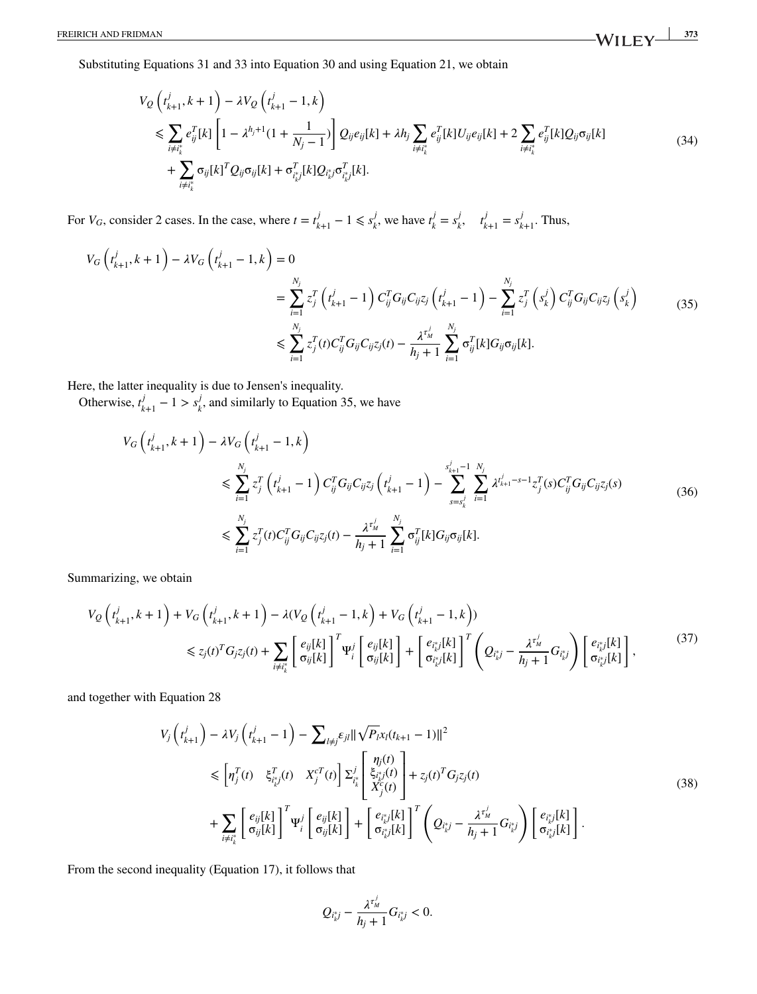Substituting Equations [31](#page-7-2) and [33](#page-7-3) into Equation [30](#page-7-4) and using Equation [21,](#page-5-5) we obtain

<span id="page-8-0"></span>
$$
V_{Q}\left(t_{k+1}^{j}, k+1\right) - \lambda V_{Q}\left(t_{k+1}^{j} - 1, k\right)
$$
  
\n
$$
\leq \sum_{i \neq i_{k}^{*}} e_{ij}^{T}[k] \left[1 - \lambda^{h_{j}+1}(1 + \frac{1}{N_{j}-1})\right] Q_{ij}e_{ij}[k] + \lambda h_{j} \sum_{i \neq i_{k}^{*}} e_{ij}^{T}[k]U_{ij}e_{ij}[k] + 2 \sum_{i \neq i_{k}^{*}} e_{ij}^{T}[k]Q_{ij}\sigma_{ij}[k] + \sum_{i \neq i_{k}^{*}} \sigma_{ij}[k]^{T}Q_{ij}\sigma_{ij}[k] + \sigma_{i_{k}^{*j}}^{T}[k]Q_{i_{k}^{*j}}\sigma_{i_{k}^{*j}}^{T}[k].
$$
\n(34)

For  $V_G$ , consider 2 cases. In the case, where  $t = t_{k+1}^j - 1 \leq s_k^j$ , we have  $t_k^j = s_k^j$ ,  $t_{k+1}^j = s_{k+1}^j$ . Thus,

$$
V_G\left(t_{k+1}^j, k+1\right) - \lambda V_G\left(t_{k+1}^j - 1, k\right) = 0
$$
  

$$
= \sum_{i=1}^{N_j} z_j^T \left(t_{k+1}^j - 1\right) C_{ij}^T G_{ij} C_{ij} z_j \left(t_{k+1}^j - 1\right) - \sum_{i=1}^{N_j} z_j^T \left(s_k^j\right) C_{ij}^T G_{ij} C_{ij} z_j \left(s_k^j\right)
$$
  

$$
\leq \sum_{i=1}^{N_j} z_j^T(t) C_{ij}^T G_{ij} C_{ij} z_j(t) - \frac{\lambda^{r_N^j}}{h_j + 1} \sum_{i=1}^{N_j} \sigma_{ij}^T[k] G_{ij} \sigma_{ij}[k].
$$
 (35)

Here, the latter inequality is due to Jensen's inequality.

Otherwise,  $t_{k+1}^j - 1 > s_k^j$ , and similarly to Equation [35,](#page-8-0) we have

$$
V_G\left(t_{k+1}^j, k+1\right) - \lambda V_G\left(t_{k+1}^j - 1, k\right)
$$
  
\n
$$
\leqslant \sum_{i=1}^{N_j} z_j^T \left(t_{k+1}^j - 1\right) C_{ij}^T G_{ij} C_{ij} z_j \left(t_{k+1}^j - 1\right) - \sum_{s=s_k^j}^{s_{k+1}^j - 1} \sum_{i=1}^{N_j} \lambda^{t_{k+1}^j - s - 1} z_j^T(s) C_{ij}^T G_{ij} C_{ij} z_j(s)
$$
\n
$$
\leqslant \sum_{i=1}^{N_j} z_j^T(t) C_{ij}^T G_{ij} C_{ij} z_j(t) - \frac{\lambda^{t_N^j}}{h_j + 1} \sum_{i=1}^{N_j} \sigma_{ij}^T[k] G_{ij} \sigma_{ij}[k].
$$
\n(36)

Summarizing, we obtain

$$
V_{Q}\left(t_{k+1}^{j},k+1\right)+V_{G}\left(t_{k+1}^{j},k+1\right)-\lambda(V_{Q}\left(t_{k+1}^{j}-1,k\right)+V_{G}\left(t_{k+1}^{j}-1,k\right))
$$
  

$$
\leq z_{j}(t)^{T}G_{j}z_{j}(t)+\sum_{i\neq i_{k}^{*}}\left[\left.\frac{e_{ij}[k]}{\sigma_{ij}[k]}\right|^{T}\Psi_{i}^{j}\left[\left.\frac{e_{ij}[k]}{\sigma_{ij}[k]}\right] + \left[\frac{e_{i_{k}^{*j}}[k]}{\sigma_{i_{k}^{*j}}[k]}\right]^{T}\left(Q_{i_{k}^{*j}}-\frac{\lambda^{T_{M}^{j}}}{h_{j}+1}G_{i_{k}^{*j}}\right)\left[\frac{e_{i_{k}^{*j}}[k]}{\sigma_{i_{k}^{*j}}[k]}\right],
$$
\n
$$
(37)
$$

and together with Equation [28](#page-7-5)

$$
V_{j}\left(t_{k+1}^{j}\right) - \lambda V_{j}\left(t_{k+1}^{j}-1\right) - \sum_{l\neq j} \varepsilon_{jl} \|\sqrt{P_{l}x_{l}}(t_{k+1}-1)\|^{2}
$$
  
\n
$$
\leq \left[\eta_{j}^{T}(t) \xi_{i_{k}^{*}j}^{T}(t) \left[X_{j}^{T}(t)\right] \Sigma_{i_{k}^{*}}^{j}\left[\xi_{i_{k}^{*}j}^{T}(t)\right] + z_{j}(t)^{T}G_{j}z_{j}(t)
$$
  
\n
$$
+ \sum_{i\neq i_{k}^{*}} \left[\left.\frac{e_{ij}[k]}{\sigma_{ij}[k]}\right|^{T} \Psi_{i}^{j}\left[\left.\frac{e_{ij}[k]}{\sigma_{ij}[k]}\right] + \left[\frac{e_{i_{k}^{*}j}[k]}{\sigma_{i_{k}^{*}j}[k]}\right]^{T}\left(Q_{i_{k}^{*}j} - \frac{\lambda^{T_{M}^{j}}}{h_{j}+1}G_{i_{k}^{*}j}\right)\left[\frac{e_{i_{k}^{*}j}[k]}{\sigma_{i_{k}^{*}j}[k]}\right].
$$
\n(38)

From the second inequality (Equation [17\)](#page-5-3), it follows that

$$
Q_{i_k^*j} - \frac{\lambda^{\tau_M^j}}{h_j+1} G_{i_k^*j} < 0.
$$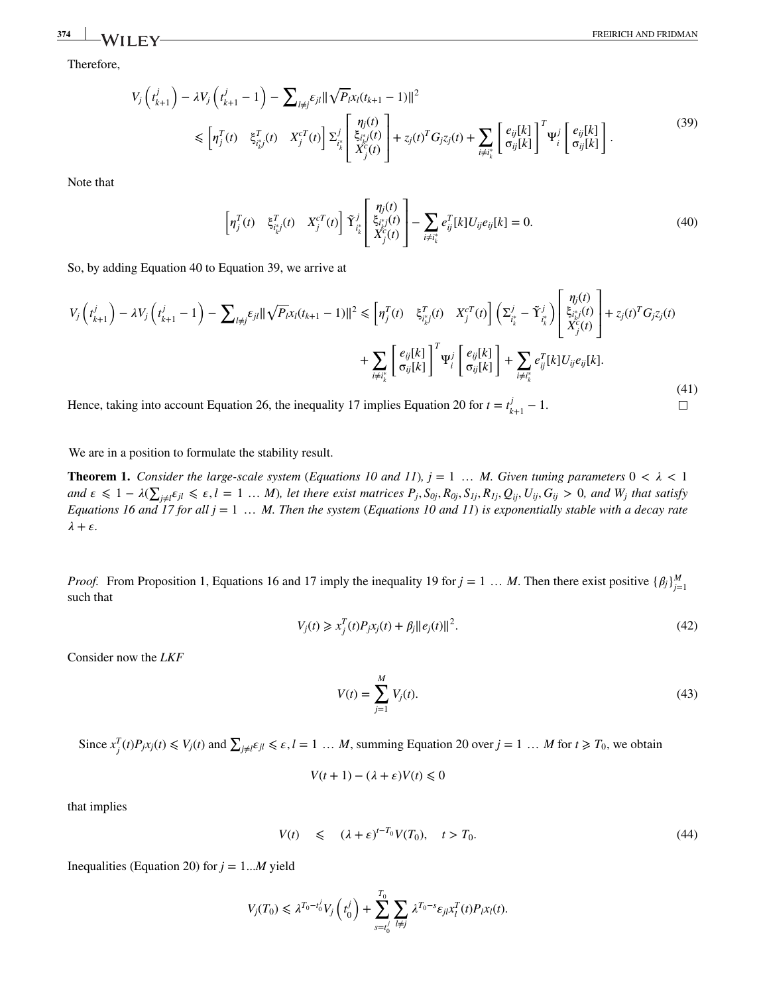$\Box$ 

Therefore,

<span id="page-9-2"></span>
$$
V_{j}\left(t_{k+1}^{j}\right) - \lambda V_{j}\left(t_{k+1}^{j}-1\right) - \sum_{l\neq j} \varepsilon_{jl} \|\sqrt{P_{l}x_{l}}(t_{k+1}-1)\|^{2}
$$
  
\$\leq \left[\eta\_{j}^{T}(t) \quad \xi\_{t\_{k}^{\*}}^{T}(t) \quad X\_{j}^{cT}(t) \right] \Sigma\_{t\_{k}^{\*}}^{j} \left[\xi\_{t\_{k}^{\*}}^{n\_{j}(t)}\right] + z\_{j}(t)^{T}G\_{j}z\_{j}(t) + \sum\_{i\neq t\_{k}^{\*}} \left[\frac{e\_{ij}[k]}{\sigma\_{ij}[k]}\right]^{T} \Psi\_{i}^{j} \left[\frac{e\_{ij}[k]}{\sigma\_{ij}[k]}\right]. \tag{39}

<span id="page-9-1"></span>Note that

$$
\left[\eta_j^T(t) \quad \xi_{i^*_{k}j}^T(t) \quad X_j^{cT}(t)\right] \tilde{\Upsilon}_{i^*_{k}}^j \left[\begin{array}{c} \eta_j(t) \\ \xi_{i^*_{k}j}^T(t) \\ X_j^{c}(t) \end{array}\right] - \sum_{i \neq i^*_{k}} e_{ij}^T[k] U_{ij} e_{ij}[k] = 0. \tag{40}
$$

So, by adding Equation [40](#page-9-1) to Equation [39,](#page-9-2) we arrive at

$$
V_{j}\left(t_{k+1}^{j}\right) - \lambda V_{j}\left(t_{k+1}^{j}-1\right) - \sum_{l\neq j} \varepsilon_{jl} \|\sqrt{P_{l}x_{l}}(t_{k+1}-1)\|^{2} \leq \left[\eta_{j}^{T}(t) \quad \xi_{t_{k}^{*}}^{T}(t) \quad X_{j}^{cT}(t) \right] \left(\Sigma_{t_{k}^{*}}^{j} - \tilde{\Upsilon}_{t_{k}^{*}}^{j}\right) \left[\xi_{t_{k}^{*}j}^{(t)}(t)\right] + z_{j}(t)^{T}G_{j}z_{j}(t) + \sum_{i\neq t_{k}^{*}} \left[\frac{e_{ij}[k]}{\sigma_{ij}[k]}\right]^{T} \Psi_{i}^{j}\left[\frac{e_{ij}[k]}{\sigma_{ij}[k]}\right] + \sum_{i\neq t_{k}^{*}} e_{ij}^{T}[k]U_{ij}e_{ij}[k].
$$
\n(41)

Hence, taking into account Equation [26,](#page-7-1) the inequality [17](#page-5-3) implies Equation [20](#page-5-0) for  $t = t_{k+1}^j - 1$ .

<span id="page-9-0"></span>We are in a position to formulate the stability result.

**Theorem [1.](#page-9-0)** *Consider the large-scale system* (*Equations* [10](#page-3-2) and [11](#page-3-3)),  $j = 1, \ldots, M$ . Given tuning parameters  $0 < \lambda < 1$ and  $\varepsilon\leqslant1-\lambda(\sum_{j\neq l}\varepsilon_{jl}\leqslant\varepsilon,l=1\,\dots\,M),$  let there exist matrices  $P_j,S_{0j},R_{0j},S_{1j},R_{1j},Q_{ij},U_{ij},G_{ij}>0,$  and  $W_j$  that satisfy *Equations [16](#page-5-4) and [17](#page-5-3) for all j* = 1 … *M. Then the system* (*Equations [10](#page-3-2) and [11](#page-3-3)*) *is exponentially stable with a decay rate*  $\lambda + \varepsilon$ .

<span id="page-9-4"></span>*Proof.* From Proposition [1,](#page-5-0) Equations [16](#page-5-4) and [17](#page-5-3) imply the inequality [19](#page-5-2) for  $j = 1 \ldots M$ . Then there exist positive  $\{\beta_j\}_{j=1}^M$ such that

<span id="page-9-3"></span>
$$
V_j(t) \ge x_j^T(t)P_j x_j(t) + \beta_j \|e_j(t)\|^2.
$$
\n(42)

Consider now the *LKF*

$$
V(t) = \sum_{j=1}^{M} V_j(t).
$$
 (43)

Since  $x_j^T(t)P_jx_j(t) \le V_j(t)$  and  $\sum_{j\neq l} \varepsilon_{jl} \le \varepsilon, l = 1 \dots M$ , summing Equation [20](#page-5-0) over  $j = 1 \dots M$  for  $t \ge T_0$ , we obtain

$$
V(t+1) - (\lambda + \varepsilon)V(t) \leq 0
$$

that implies

$$
V(t) \le (\lambda + \varepsilon)^{t - T_0} V(T_0), \quad t > T_0. \tag{44}
$$

Inequalities (Equation [20](#page-5-0)) for  $j = 1...M$  yield

$$
V_j(T_0) \leq \lambda^{T_0 - t_0^j} V_j\left(t_0^j\right) + \sum_{s=t_0^j}^{T_0} \sum_{l \neq j} \lambda^{T_0 - s} \varepsilon_{jl} x_l^T(t) P_l x_l(t).
$$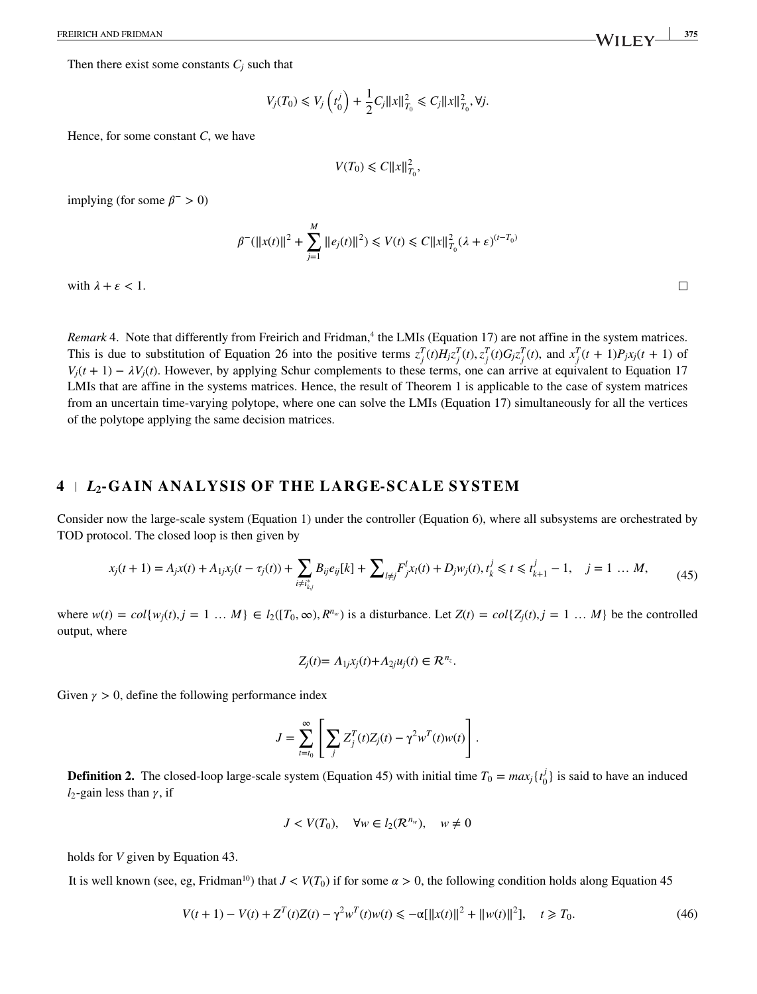Then there exist some constants  $C_j$  such that

$$
V_j(T_0) \le V_j\left(t_0^j\right) + \frac{1}{2}C_j||x||_{T_0}^2 \le C_j||x||_{T_0}^2, \forall j.
$$

Hence, for some constant *C*, we have

$$
V(T_0) \leq C ||x||_{T_0}^2,
$$

implying (for some  $\beta$ <sup>-</sup> > 0)

$$
\beta^{-}(\|x(t)\|^{2} + \sum_{j=1}^{M} \|e_{j}(t)\|^{2}) \leq V(t) \leq C \|x\|_{T_{0}}^{2} (\lambda + \varepsilon)^{(t-T_{0})}
$$

with  $\lambda + \varepsilon < 1$ .

<span id="page-10-0"></span>*Remark* [4.](#page-10-0) Note that differently from Freirich and Fridman,<sup>4</sup> the LMIs (Equation [17](#page-5-3)) are not affine in the system matrices. This is due to substitution of Equation [26](#page-7-1) into the positive terms  $z_j^T(t)H_jz_j^T(t), z_j^T(t)G_jz_j^T(t)$ , and  $x_j^T(t+1)P_jx_j(t+1)$  of  $V_i(t + 1) - \lambda V_i(t)$ . However, by applying Schur complements to these terms, one can arrive at equivalent to Equation [17](#page-5-3) LMIs that are affine in the systems matrices. Hence, the result of Theorem [1](#page-9-0) is applicable to the case of system matrices from an uncertain time-varying polytope, where one can solve the LMIs (Equation [17](#page-5-3)) simultaneously for all the vertices of the polytope applying the same decision matrices.

# **4** *L***2-GA IN ANALYS IS OF THE LARGE-SCALE SYSTEM**

Consider now the large-scale system (Equation [1\)](#page-1-1) under the controller (Equation [6\)](#page-3-0), where all subsystems are orchestrated by TOD protocol. The closed loop is then given by

$$
x_j(t+1) = A_j x(t) + A_{1j} x_j(t - \tau_j(t)) + \sum_{i \neq i^*_{k,j}} B_{ij} e_{ij}[k] + \sum_{l \neq j} F_j^l x_l(t) + D_j w_j(t), \quad t_k^j \le t \le t_{k+1}^j - 1, \quad j = 1 \dots M,
$$
\n<sup>(45)</sup>

where  $w(t) = col\{w_j(t), j = 1, ..., M\} \in l_2([T_0, \infty), R^{n_w})$  is a disturbance. Let  $Z(t) = col\{Z_j(t), j = 1, ..., M\}$  be the controlled output, where

<span id="page-10-2"></span>
$$
Z_j(t) = \Lambda_{1j} x_j(t) + \Lambda_{2j} u_j(t) \in \mathcal{R}^{n_z}.
$$

Given  $\gamma > 0$ , define the following performance index

$$
J = \sum_{t=t_0}^{\infty} \left[ \sum_j Z_j^T(t) Z_j(t) - \gamma^2 w^T(t) w(t) \right].
$$

<span id="page-10-1"></span>**Definition [2.](#page-10-1)** The closed-loop large-scale system (Equation [45](#page-10-2)) with initial time  $T_0 = max_j\{t_0^j\}$  is said to have an induced  $l_2$ -gain less than  $\gamma$ , if

<span id="page-10-3"></span>
$$
J < V(T_0), \quad \forall w \in l_2(\mathcal{R}^{n_w}), \quad w \neq 0
$$

holds for *V* given by Equation [43.](#page-9-3)

It is well known (see, eg, Fridman<sup>10</sup>) that  $J < V(T_0)$  if for some  $\alpha > 0$ , the following condition holds along Equation [45](#page-10-2)

$$
V(t+1) - V(t) + Z^{T}(t)Z(t) - \gamma^{2}w^{T}(t)w(t) \le -\alpha[\|x(t)\|^{2} + \|w(t)\|^{2}], \quad t \ge T_{0}.
$$
\n(46)

 $\Box$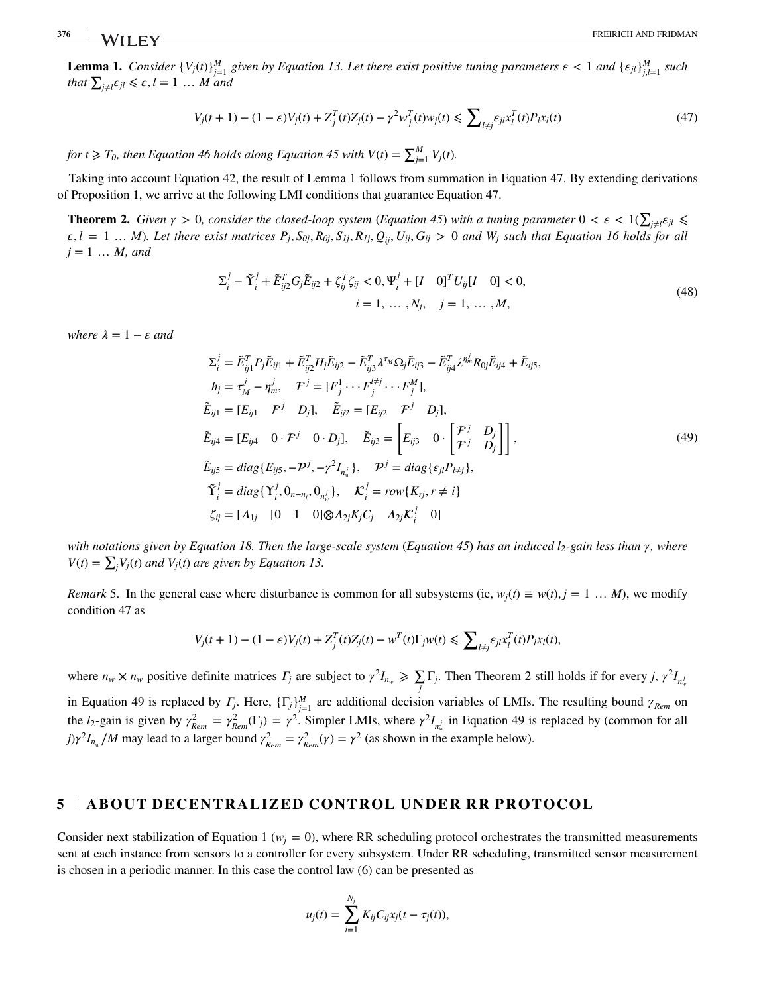<span id="page-11-0"></span>**Lemma [1.](#page-11-0)** Consider  $\{V_j(t)\}_{j=1}^M$  given by Equation [13.](#page-3-4) Let there exist positive tuning parameters  $\epsilon < 1$  and  $\{\epsilon_{jl}\}_{j,l=1}^M$  such *that*  $\sum_{j\neq l} \varepsilon_{jl} \le \varepsilon, l = 1 \dots M$  and

<span id="page-11-1"></span>
$$
V_j(t+1) - (1 - \varepsilon)V_j(t) + Z_j^T(t)Z_j(t) - \gamma^2 w_j^T(t)w_j(t) \le \sum_{l \ne j} \varepsilon_{jl} x_l^T(t)P_l x_l(t)
$$
\n(47)

*for t*  $\geqslant T_0$ , then Equation [46](#page-10-3) holds along Equation [45](#page-10-2) with  $V(t) = \sum_{j=1}^{M} V_j(t)$ .

<span id="page-11-2"></span>Taking into account Equation [42,](#page-9-4) the result of Lemma [1](#page-11-1) follows from summation in Equation [47.](#page-11-1) By extending derivations of Proposition [1,](#page-5-0) we arrive at the following LMI conditions that guarantee Equation [47.](#page-11-1)

**Theorem [2.](#page-11-2)** Given  $\gamma > 0$ , consider the closed-loop system (Equation [45](#page-10-2)) with a tuning parameter  $0 < \varepsilon < 1$ ( ∑  $j \neq l$  €  $jl$  ≤  $\varepsilon, l = 1 ... M$ ). Let there exist matrices  $P_i, S_{0i}, R_{0i}, S_{1i}, R_{1i}, Q_{ii}, U_{ii}, G_{ii} > 0$  and  $W_i$  such that Equation [16](#page-5-4) holds for all  $j = 1 ... M$ , and

$$
\Sigma_{i}^{j} - \tilde{\Upsilon}_{i}^{j} + \tilde{E}_{ij2}^{T} G_{j} \tilde{E}_{ij2} + \zeta_{ij}^{T} \zeta_{ij} < 0, \Psi_{i}^{j} + [I \quad 0]^{T} U_{ij} [I \quad 0] < 0, \ni = 1, ..., N_{j}, \quad j = 1, ..., M,
$$
\n(48)

*where*  $\lambda = 1 - \epsilon$  *and* 

<span id="page-11-4"></span>
$$
\Sigma_{i}^{j} = \tilde{E}_{ij1}^{T} P_{j} \tilde{E}_{ij1} + \tilde{E}_{ij2}^{T} H_{j} \tilde{E}_{ij2} - \tilde{E}_{ij3}^{T} \lambda^{\tau_{M}} \Omega_{j} \tilde{E}_{ij3} - \tilde{E}_{ij4}^{T} \lambda^{\eta_{m}^{j}} R_{0j} \tilde{E}_{ij4} + \tilde{E}_{ij5},
$$
\n
$$
h_{j} = \tau_{M}^{j} - \eta_{m}^{j}, \quad \mathcal{F}^{j} = [F_{j}^{1} \cdots F_{j}^{j} \cdots F_{j}^{M}],
$$
\n
$$
\tilde{E}_{ij1} = [E_{ij1} \quad \mathcal{F}^{j} \quad D_{j}], \quad \tilde{E}_{ij2} = [E_{ij2} \quad \mathcal{F}^{j} \quad D_{j}],
$$
\n
$$
\tilde{E}_{ij4} = [E_{ij4} \quad 0 \cdot \mathcal{F}^{j} \quad 0 \cdot D_{j}], \quad \tilde{E}_{ij3} = \left[ E_{ij3} \quad 0 \cdot \left[ \frac{\mathcal{F}^{j}}{\mathcal{F}^{j}} \quad D_{j} \right] \right],
$$
\n
$$
\tilde{E}_{ij5} = diag\{ E_{ij5}, -\mathcal{P}^{j}, -\gamma^{2} I_{n_{w}^{j}} \}, \quad \mathcal{P}^{j} = diag\{ \epsilon_{jl} P_{l \neq j} \},
$$
\n
$$
\tilde{\gamma}_{i}^{j} = diag\{ \Upsilon_{i}^{j}, 0_{n-n_{j}}, 0_{n_{w}^{j}} \}, \quad \mathcal{K}_{i}^{j} = row\{ K_{rj}, r \neq i \}
$$
\n
$$
\zeta_{ij} = [A_{1j} \quad [0 \quad 1 \quad 0] \otimes A_{2j} K_{j} C_{j} \quad A_{2j} \mathcal{K}_{i}^{j} \quad 0]
$$
\n(49)

*with notations given by Equation [18.](#page-5-6) Then the large-scale system (Equation [45](#page-10-2)) has an induced l<sub>2</sub>-gain less than*  $\gamma$ *, where V*(*t*) =  $\sum_j V_j(t)$  *and V<sub>j</sub>*(*t*) *are given by Equation [13.](#page-3-4)* 

<span id="page-11-3"></span>*Remark* [5.](#page-11-3) In the general case where disturbance is common for all subsystems (ie,  $w_i(t) \equiv w(t)$ ,  $j = 1 \dots M$ ), we modify condition [47](#page-11-1) as

$$
V_j(t+1) - (1 - \varepsilon)V_j(t) + Z_j^T(t)Z_j(t) - w^T(t)\Gamma_j w(t) \le \sum_{l \ne j} \varepsilon_{jl} x_l^T(t)P_l x_l(t),
$$

where  $n_w \times n_w$  positive definite matrices  $\Gamma_j$  are subject to  $\gamma^2 I_{n_w} \ge \sum \Gamma_j$ . Then Theorem [2](#page-11-4) still holds if for every *j*,  $\gamma^2 I_{n_w}$ *j* in Equation [49](#page-11-4) is replaced by  $T_j$ . Here,  $\{\Gamma_j\}_{j=1}^M$  are additional decision variables of LMIs. The resulting bound  $\gamma_{Rem}$  on the *l*<sub>2</sub>-gain is given by  $\gamma_{Rem}^2 = \gamma_{Rem}^2(\Gamma_j) = \gamma^2$ . Simpler LMIs, where  $\gamma^2 I_{n_w^j}$  in Equation [49](#page-11-4) is replaced by (common for all  $j\gamma^2 I_{n_w}/M$  may lead to a larger bound  $\gamma_{Rem}^2 = \gamma_{Rem}^2(\gamma) = \gamma^2$  (as shown in the example below).

#### **5 ABOUT DECENTRALIZED CONTROL UNDER RR PROTOCOL**

Consider next stabilization of Equation [1](#page-1-1) ( $w_i = 0$ ), where RR scheduling protocol orchestrates the transmitted measurements sent at each instance from sensors to a controller for every subsystem. Under RR scheduling, transmitted sensor measurement is chosen in a periodic manner. In this case the control law [\(6\)](#page-3-0) can be presented as

$$
u_j(t) = \sum_{i=1}^{N_j} K_{ij} C_{ij} x_j(t - \tau_j(t)),
$$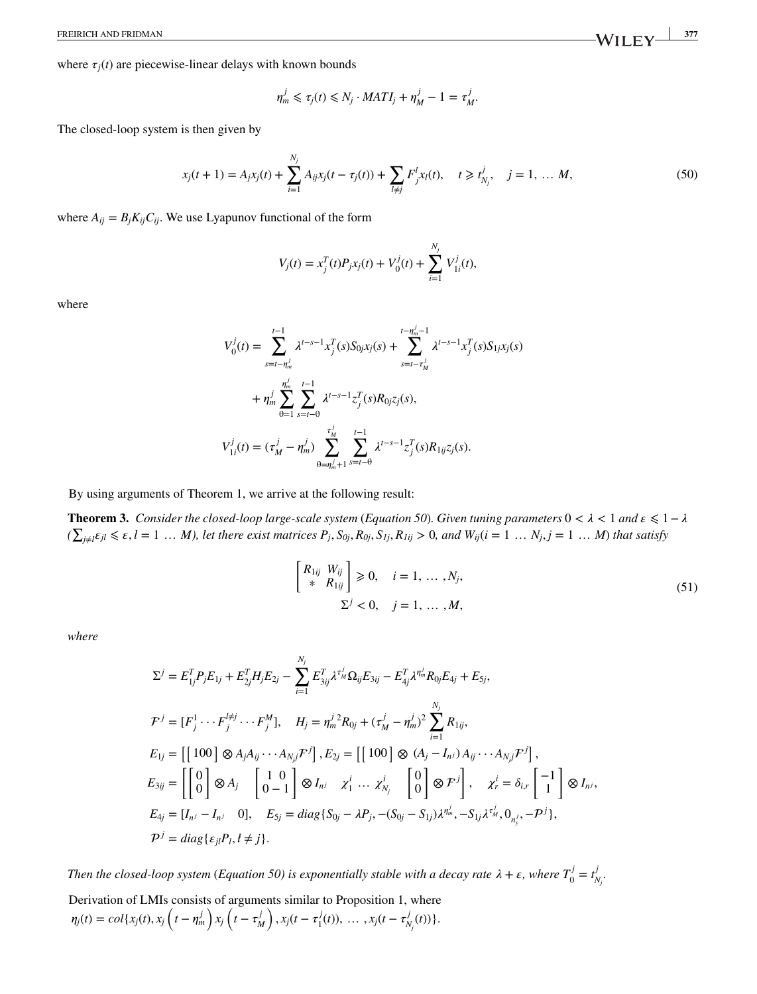where  $\tau_i(t)$  are piecewise-linear delays with known bounds

<span id="page-12-1"></span>
$$
\eta_m^j \leq \tau_j(t) \leq N_j \cdot MATLAB_I_j + \eta_M^j - 1 = \tau_M^j.
$$

The closed-loop system is then given by

$$
x_j(t+1) = A_j x_j(t) + \sum_{i=1}^{N_j} A_{ij} x_j(t - \tau_j(t)) + \sum_{l \neq j} F^l_{j} x_l(t), \quad t \geq t^j_{N_j}, \quad j = 1, \dots M,
$$
 (50)

where  $A_{ij} = B_j K_{ij} C_{ij}$ . We use Lyapunov functional of the form

$$
V_j(t) = x_j^T(t)P_jx_j(t) + V_0^j(t) + \sum_{i=1}^{N_j} V_{1i}^j(t),
$$

where

$$
V_0^j(t) = \sum_{s=t-\eta_m^j}^{t-1} \lambda^{t-s-1} x_j^T(s) S_{0j} x_j(s) + \sum_{s=t-\tau_M^j}^{t-\eta_m^j-1} \lambda^{t-s-1} x_j^T(s) S_{1j} x_j(s)
$$
  
+ 
$$
\eta_m^j \sum_{\theta=1}^{\eta_m^j} \sum_{s=t-\theta}^{t-1} \lambda^{t-s-1} z_j^T(s) R_{0j} z_j(s),
$$
  

$$
V_{1i}^j(t) = (\tau_M^j - \eta_m^j) \sum_{\theta=\eta_m^j+1}^{t}\sum_{s=t-\theta}^{t-1} \lambda^{t-s-1} z_j^T(s) R_{1ij} z_j(s).
$$

<span id="page-12-0"></span>By using arguments of Theorem [1,](#page-9-0) we arrive at the following result:

**Theorem [3.](#page-12-0)** *Consider the closed-loop large-scale system (Equation [50](#page-12-1)). Given tuning parameters*  $0 < \lambda < 1$  and  $\epsilon \leq 1 - \lambda$  $(\sum_{j\neq l}\varepsilon_{jl}\leqslant\varepsilon,l=1\,\dots\,M),$  let there exist matrices  $P_j,S_{0j},R_{0j},S_{Ij},R_{Iij}>0,$  and  $W_{ij}(i=1\,\dots\,N_j,j=1\,\dots\,M)$  that satisfy

<span id="page-12-2"></span>
$$
\begin{bmatrix} R_{1ij} & W_{ij} \\ * & R_{1ij} \end{bmatrix} \geq 0, \quad i = 1, ..., N_j,
$$
  

$$
\Sigma^j < 0, \quad j = 1, ..., M,
$$
 (51)

*where*

$$
\Sigma^{j} = E_{1j}^{T} P_{j} E_{1j} + E_{2j}^{T} H_{j} E_{2j} - \sum_{i=1}^{N_{j}} E_{3ij}^{T} \lambda^{\tau_{M}^{j}} \Omega_{ij} E_{3ij} - E_{4j}^{T} \lambda^{\eta_{m}^{j}} R_{0j} E_{4j} + E_{5j},
$$
\n
$$
\mathcal{F}^{j} = [F_{j}^{1} \cdots F_{j}^{l\neq j} \cdots F_{j}^{M}], \quad H_{j} = \eta_{m}^{j} R_{0j} + (\tau_{M}^{j} - \eta_{m}^{j})^{2} \sum_{i=1}^{N_{j}} R_{1ij},
$$
\n
$$
E_{1j} = [[100] \otimes A_{j} A_{ij} \cdots A_{N_{j}} \mathcal{F}^{j}], E_{2j} = [[100] \otimes (A_{j} - I_{n^{j}}) A_{ij} \cdots A_{N_{j}} \mathcal{F}^{j}],
$$
\n
$$
E_{3ij} = \begin{bmatrix} 0 \\ 0 \end{bmatrix} \otimes A_{j} \quad \begin{bmatrix} 1 & 0 \\ 0 & -1 \end{bmatrix} \otimes I_{n^{j}} \quad \chi_{1}^{i} \cdots \chi_{N_{j}}^{i} \quad \begin{bmatrix} 0 \\ 0 \end{bmatrix} \otimes \mathcal{F}^{j} \end{bmatrix}, \quad \chi_{r}^{i} = \delta_{i,r} \begin{bmatrix} -1 \\ 1 \end{bmatrix} \otimes I_{n^{j}},
$$
\n
$$
E_{4j} = [I_{n^{j}} - I_{n^{j}} \quad 0], \quad E_{5j} = diag\{S_{0j} - \lambda P_{j}, -(S_{0j} - S_{1j})\lambda^{\eta_{m}^{j}}, -S_{1j}\lambda^{\tau_{m}^{j}}, 0_{n^{j}}\}, \quad \mathcal{P}^{j} = diag\{e_{j} P_{i}, t \neq j\}.
$$

*Then the closed-loop system (Equation [50\)](#page-12-1) is exponentially stable with a decay rate*  $\lambda + \varepsilon$ , where  $T_0^j = t_j^j$ *Nj .*

Derivation of LMIs consists of arguments similar to Proposition [1,](#page-5-0) where  $\eta_j(t) = col\{x_j(t), x_j\left(t - \eta_m^j\right)x_j\left(t - \tau_M^j\right), x_j(t - \tau_1^j(t)), \dots, x_j(t - \tau_{N_j}^j(t))\}.$ 

FREIRICH AND FRIDMAN **377 W** I I F V 377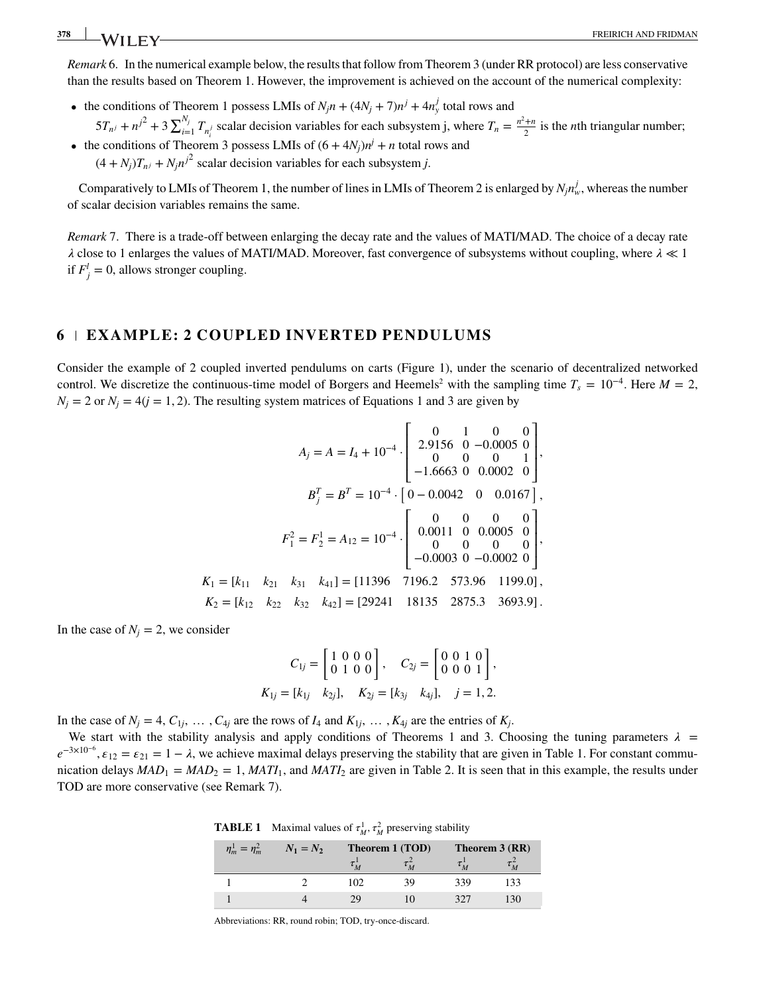<span id="page-13-0"></span>*Remark* [6.](#page-13-0) In the numerical example below, the results that follow from Theorem [3](#page-12-2) (under RR protocol) are less conservative than the results based on Theorem [1.](#page-9-0) However, the improvement is achieved on the account of the numerical complexity:

- the conditions of Theorem [1](#page-9-0) possess LMIs of  $N_j n + (4N_j + 7)n^j + 4n^j$  total rows and
- $5T_{n^j} + n^{j^2} + 3\sum_{i=1}^{N_j}$  $\sum_{i=1}^{N_j} T_{n_i}$  scalar decision variables for each subsystem j, where  $T_n = \frac{n^2+n}{2}$  is the *n*th triangular number; • the conditions of Theorem [3](#page-12-2) possess LMIs of  $(6 + 4N<sub>j</sub>)n<sup>j</sup> + n$  total rows and
	- $(4 + N_i)T_{ni} + N_i n^{j^2}$  scalar decision variables for each subsystem *j*.

<span id="page-13-1"></span>Comparatively to LMIs of Theorem [1,](#page-9-0) the number of lines in LMIs of Theorem [2](#page-11-4) is enlarged by  $N_j n_w^j$ , whereas the number of scalar decision variables remains the same.

*Remark* [7.](#page-13-1) There is a trade-off between enlarging the decay rate and the values of MATI/MAD. The choice of a decay rate close to 1 enlarges the values of MATI/MAD. Moreover, fast convergence of subsystems without coupling, where  *≪* 1 if  $F_j^l = 0$ , allows stronger coupling.

#### **6 EXAMPLE: 2 COUPLED INVERTED PENDULUMS**

Consider the example of 2 coupled inverted pendulums on carts (Figure [1\)](#page-1-0), under the scenario of decentralized networked control. We discretize the continuous-time model of Borgers and Heemels<sup>2</sup> with the sampling time  $T_s = 10^{-4}$ . Here  $M = 2$ ,  $N_i = 2$  or  $N_i = 4(j = 1, 2)$  $N_i = 4(j = 1, 2)$  $N_i = 4(j = 1, 2)$ . The resulting system matrices of Equations 1 and [3](#page-2-2) are given by

$$
A_{j} = A = I_{4} + 10^{-4} \cdot \begin{bmatrix} 0 & 1 & 0 & 0 \\ 2.9156 & 0 & -0.0005 & 0 \\ 0 & 0 & 0 & 1 \\ -1.6663 & 0 & 0.0002 & 0 \end{bmatrix},
$$

$$
B_{j}^{T} = B^{T} = 10^{-4} \cdot \begin{bmatrix} 0 & 0 & 0 & 0 \\ 0 & -0.0042 & 0 & 0.0167 \\ 0 & 0 & 0 & 0 \\ 0 & 0 & 0 & 0 \\ -0.0003 & 0 & -0.0002 & 0 \end{bmatrix},
$$

$$
K_{1} = [k_{11} \quad k_{21} \quad k_{31} \quad k_{41}] = [11396 \quad 7196.2 \quad 573.96 \quad 1199.0],
$$

$$
K_{2} = [k_{12} \quad k_{22} \quad k_{32} \quad k_{42}] = [29241 \quad 18135 \quad 2875.3 \quad 3693.9].
$$

In the case of  $N_i = 2$ , we consider

$$
C_{1j} = \begin{bmatrix} 1 & 0 & 0 & 0 \\ 0 & 1 & 0 & 0 \end{bmatrix}, \quad C_{2j} = \begin{bmatrix} 0 & 0 & 1 & 0 \\ 0 & 0 & 0 & 1 \end{bmatrix},
$$
  

$$
K_{1j} = [k_{1j} \quad k_{2j}], \quad K_{2j} = [k_{3j} \quad k_{4j}], \quad j = 1, 2.
$$

In the case of  $N_j = 4$ ,  $C_{1j}$ ,  $\ldots$ ,  $C_{4j}$  are the rows of  $I_4$  and  $K_{1j}$ ,  $\ldots$ ,  $K_{4j}$  are the entries of  $K_j$ .

We start with the stability analysis and apply conditions of Theorems [1](#page-9-0) and [3.](#page-12-2) Choosing the tuning parameters  $\lambda$  =  $e^{-3\times10^{-6}}$ ,  $\varepsilon_{12} = \varepsilon_{21} = 1 - \lambda$ , we achieve maximal delays preserving the stability that are given in Table [1.](#page-13-2) For constant communication delays  $MAD_1 = MAD_2 = 1$ ,  $MATI_1$ , and  $MATI_2$  are given in Table [2.](#page-14-0) It is seen that in this example, the results under TOD are more conservative (see Remark [7\)](#page-13-1).

**TABLE 1** Maximal values of  $\tau_M^1$ ,  $\tau_M^2$  preserving stability

<span id="page-13-2"></span>

| $\eta_m^1 = \eta_m^2$ | $N_1 = N_2$ | Theorem 1 (TOD) |    | Theorem 3 (RR) |    |  |
|-----------------------|-------------|-----------------|----|----------------|----|--|
|                       |             |                 |    |                |    |  |
|                       |             | 102             | 39 | 339            | 33 |  |
|                       |             | 29              |    | 327            | 30 |  |

Abbreviations: RR, round robin; TOD, try-once-discard.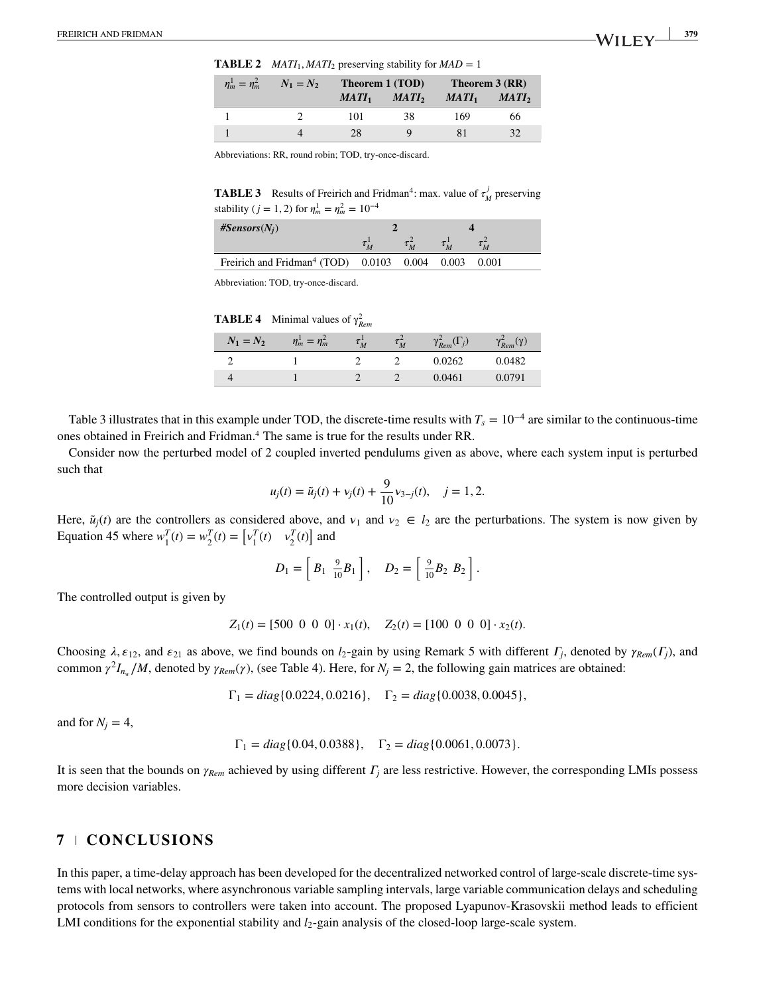**TABLE 2** *MATI*<sub>1</sub>*, MATI*<sub>2</sub> preserving stability for  $MAD = 1$ 

<span id="page-14-0"></span>

| $\eta_m^1 = \eta_m^2$ | $N_1 = N_2$ | Theorem 1 (TOD) |                   | Theorem 3 (RR) |                   |
|-----------------------|-------------|-----------------|-------------------|----------------|-------------------|
|                       |             | $MATI_1$        | MATI <sub>2</sub> | $MATI_1$       | MATI <sub>2</sub> |
|                       |             | 101             | 38                | 169            | 66                |
|                       |             | 28              |                   |                | 32                |

Abbreviations: RR, round robin; TOD, try-once-discard.

<span id="page-14-1"></span>**TABLE 3** Results of Freirich and Fridman<sup>4</sup>: max. value of  $\tau_M^j$  preserving stability (*j* = 1, 2) for  $\eta_m^1 = \eta_m^2 = 10^{-4}$ 

| $#Sensors(N_i)$                                                  |  |  |       |
|------------------------------------------------------------------|--|--|-------|
|                                                                  |  |  |       |
| Freirich and Fridman <sup>4</sup> (TOD) $0.0103$ $0.004$ $0.003$ |  |  | 0.001 |

Abbreviation: TOD, try-once-discard.

| <b>TABLE 4</b> Minimal values of $\gamma_{\text{Rem}}^2$ |  |  |
|----------------------------------------------------------|--|--|
|                                                          |  |  |

<span id="page-14-2"></span>

| $N_1 = N_2$ | $\eta_m^1 = \eta_m^2$ | $\tau_M^-$ | $\tau_M^-$ | $\gamma_{Rem}^2(\Gamma_j)$ | $\gamma_{Rem}^2(\gamma)$ |
|-------------|-----------------------|------------|------------|----------------------------|--------------------------|
|             |                       |            |            | 0.0262                     | 0.0482                   |
|             |                       |            |            | 0.0461                     | 0.0791                   |

Table [3](#page-14-1) illustrates that in this example under TOD, the discrete-time results with  $T_s = 10^{-4}$  are similar to the continuous-time ones obtained in Freirich and Fridman[.4](#page-15-3) The same is true for the results under RR.

Consider now the perturbed model of 2 coupled inverted pendulums given as above, where each system input is perturbed such that

$$
u_j(t) = \tilde{u}_j(t) + v_j(t) + \frac{9}{10}v_{3-j}(t), \quad j = 1, 2.
$$

Here,  $\tilde{u}_j(t)$  are the controllers as considered above, and  $v_1$  and  $v_2 \in l_2$  are the perturbations. The system is now given by Here,  $u_j(t)$  are the controllers as considered above, and<br>Equation [45](#page-10-2) where  $w_1^T(t) = w_2^T(t) = \begin{bmatrix} v_1^T(t) & v_2^T(t) \end{bmatrix}$  and

$$
D_1 = \left[ B_1 \, \, \frac{9}{10} B_1 \right], \quad D_2 = \left[ \, \frac{9}{10} B_2 \, B_2 \, \right].
$$

The controlled output is given by

$$
Z_1(t) = [500 \ 0 \ 0 \ 0] \cdot x_1(t), \quad Z_2(t) = [100 \ 0 \ 0 \ 0] \cdot x_2(t).
$$

Choosing  $\lambda$ ,  $\varepsilon_{12}$ , and  $\varepsilon_{21}$  as above, we find bounds on  $l_2$ -gain by using Remark [5](#page-11-3) with different  $\Gamma_j$ , denoted by  $\gamma_{Rem}(\Gamma_j)$ , and common  $\gamma^2 I_{n_w}/M$ , denoted by  $\gamma_{Rem}(\gamma)$ , (see Table [4\)](#page-14-2). Here, for  $N_j = 2$ , the following gain matrices are obtained:

$$
\Gamma_1 = diag\{0.0224, 0.0216\}, \quad \Gamma_2 = diag\{0.0038, 0.0045\},
$$

and for  $N_i = 4$ ,

$$
\Gamma_1 = diag\{0.04, 0.0388\}, \quad \Gamma_2 = diag\{0.0061, 0.0073\}.
$$

It is seen that the bounds on  $\gamma_{Rem}$  achieved by using different  $\Gamma_i$  are less restrictive. However, the corresponding LMIs possess more decision variables.

### **7 CONCLUSIONS**

In this paper, a time-delay approach has been developed for the decentralized networked control of large-scale discrete-time systems with local networks, where asynchronous variable sampling intervals, large variable communication delays and scheduling protocols from sensors to controllers were taken into account. The proposed Lyapunov-Krasovskii method leads to efficient LMI conditions for the exponential stability and *l*<sub>2</sub>-gain analysis of the closed-loop large-scale system.